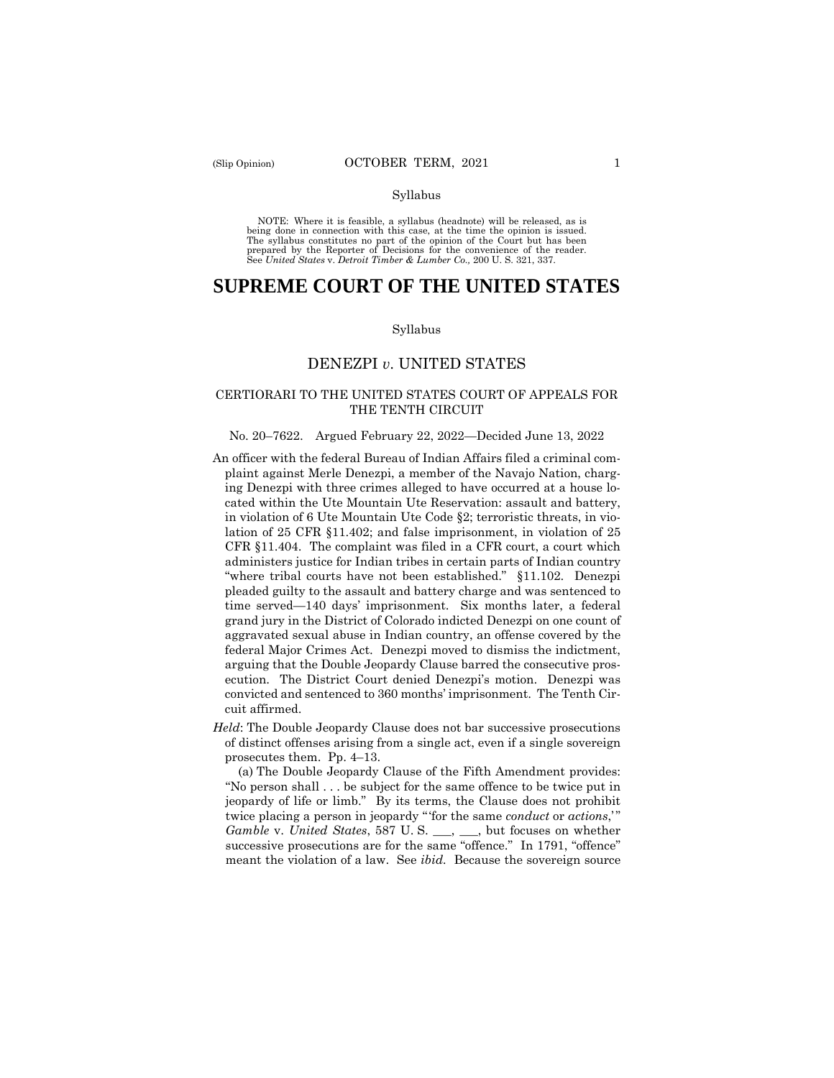#### Syllabus

 NOTE: Where it is feasible, a syllabus (headnote) will be released, as is being done in connection with this case, at the time the opinion is issued. The syllabus constitutes no part of the opinion of the Court but has been<br>prepared by the Reporter of Decisions for the convenience of the reader.<br>See United States v. Detroit Timber & Lumber Co., 200 U.S. 321, 337.

# **SUPREME COURT OF THE UNITED STATES**

#### Syllabus

## DENEZPI *v*. UNITED STATES

### CERTIORARI TO THE UNITED STATES COURT OF APPEALS FOR THE TENTH CIRCUIT

#### No. 20–7622. Argued February 22, 2022—Decided June 13, 2022

- federal Major Crimes Act. Denezpi moved to dismiss the indictment, An officer with the federal Bureau of Indian Affairs filed a criminal complaint against Merle Denezpi, a member of the Navajo Nation, charging Denezpi with three crimes alleged to have occurred at a house located within the Ute Mountain Ute Reservation: assault and battery, in violation of 6 Ute Mountain Ute Code §2; terroristic threats, in violation of 25 CFR §11.402; and false imprisonment, in violation of 25 CFR §11.404. The complaint was filed in a CFR court, a court which administers justice for Indian tribes in certain parts of Indian country "where tribal courts have not been established." §11.102. Denezpi pleaded guilty to the assault and battery charge and was sentenced to time served—140 days' imprisonment. Six months later, a federal grand jury in the District of Colorado indicted Denezpi on one count of aggravated sexual abuse in Indian country, an offense covered by the arguing that the Double Jeopardy Clause barred the consecutive prosecution. The District Court denied Denezpi's motion. Denezpi was convicted and sentenced to 360 months' imprisonment. The Tenth Circuit affirmed.
- *Held*: The Double Jeopardy Clause does not bar successive prosecutions of distinct offenses arising from a single act, even if a single sovereign prosecutes them. Pp. 4–13.

(a) The Double Jeopardy Clause of the Fifth Amendment provides: "No person shall . . . be subject for the same offence to be twice put in jeopardy of life or limb." By its terms, the Clause does not prohibit twice placing a person in jeopardy " 'for the same *conduct* or *actions*,' " *Gamble* v. *United States*, 587 U. S. \_\_\_, \_\_\_, but focuses on whether successive prosecutions are for the same "offence." In 1791, "offence" meant the violation of a law. See *ibid.* Because the sovereign source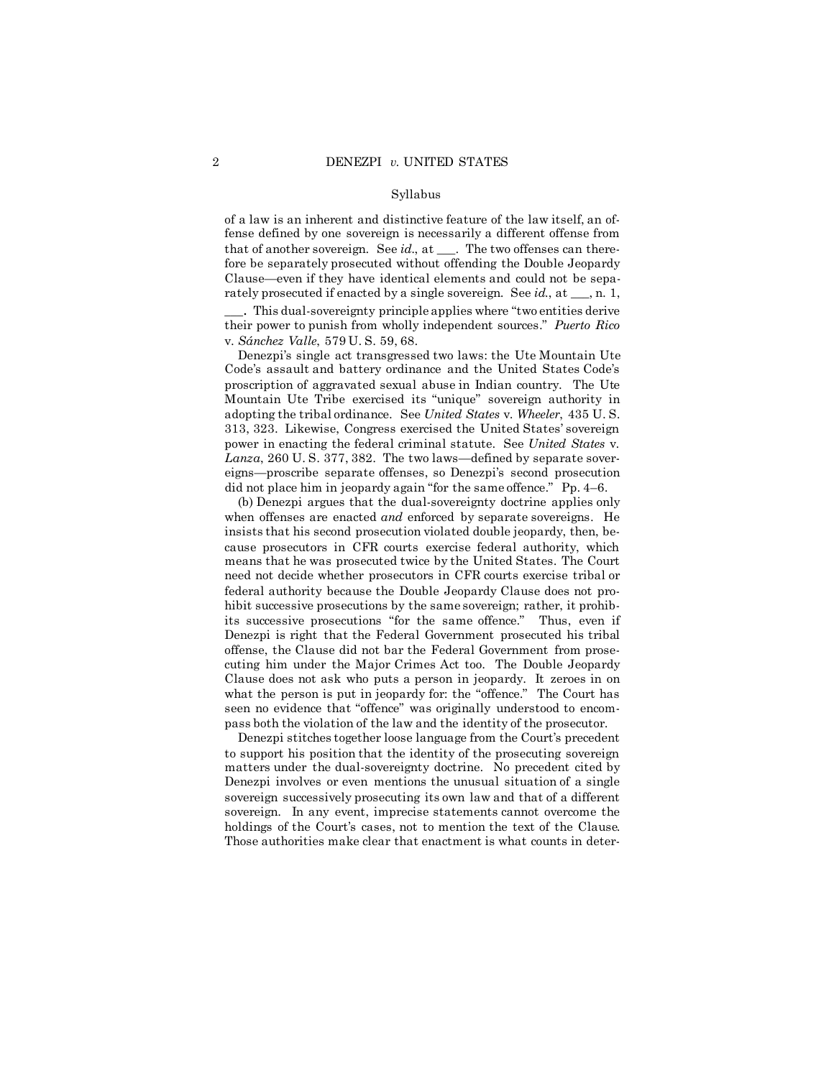#### Syllabus

of a law is an inherent and distinctive feature of the law itself, an offense defined by one sovereign is necessarily a different offense from that of another sovereign. See *id*., at \_\_\_. The two offenses can therefore be separately prosecuted without offending the Double Jeopardy Clause—even if they have identical elements and could not be separately prosecuted if enacted by a single sovereign. See *id.*, at \_\_\_, n. 1,

\_\_\_. This dual-sovereignty principle applies where "two entities derive their power to punish from wholly independent sources." *Puerto Rico*  v. *Sánchez Valle*, 579 U. S. 59, 68.

Denezpi's single act transgressed two laws: the Ute Mountain Ute Code's assault and battery ordinance and the United States Code's proscription of aggravated sexual abuse in Indian country. The Ute Mountain Ute Tribe exercised its "unique" sovereign authority in adopting the tribal ordinance. See *United States* v. *Wheeler*, 435 U. S. 313, 323. Likewise, Congress exercised the United States' sovereign power in enacting the federal criminal statute. See *United States* v. *Lanza*, 260 U. S. 377, 382. The two laws—defined by separate sovereigns—proscribe separate offenses, so Denezpi's second prosecution did not place him in jeopardy again "for the same offence." Pp. 4–6.

 (b) Denezpi argues that the dual-sovereignty doctrine applies only when offenses are enacted *and* enforced by separate sovereigns. He insists that his second prosecution violated double jeopardy, then, because prosecutors in CFR courts exercise federal authority, which means that he was prosecuted twice by the United States. The Court need not decide whether prosecutors in CFR courts exercise tribal or federal authority because the Double Jeopardy Clause does not prohibit successive prosecutions by the same sovereign; rather, it prohibits successive prosecutions "for the same offence." Thus, even if Denezpi is right that the Federal Government prosecuted his tribal offense, the Clause did not bar the Federal Government from prosecuting him under the Major Crimes Act too. The Double Jeopardy Clause does not ask who puts a person in jeopardy. It zeroes in on what the person is put in jeopardy for: the "offence." The Court has seen no evidence that "offence" was originally understood to encompass both the violation of the law and the identity of the prosecutor.

 Denezpi stitches together loose language from the Court's precedent to support his position that the identity of the prosecuting sovereign matters under the dual-sovereignty doctrine. No precedent cited by Denezpi involves or even mentions the unusual situation of a single sovereign successively prosecuting its own law and that of a different sovereign. In any event, imprecise statements cannot overcome the holdings of the Court's cases, not to mention the text of the Clause. Those authorities make clear that enactment is what counts in deter-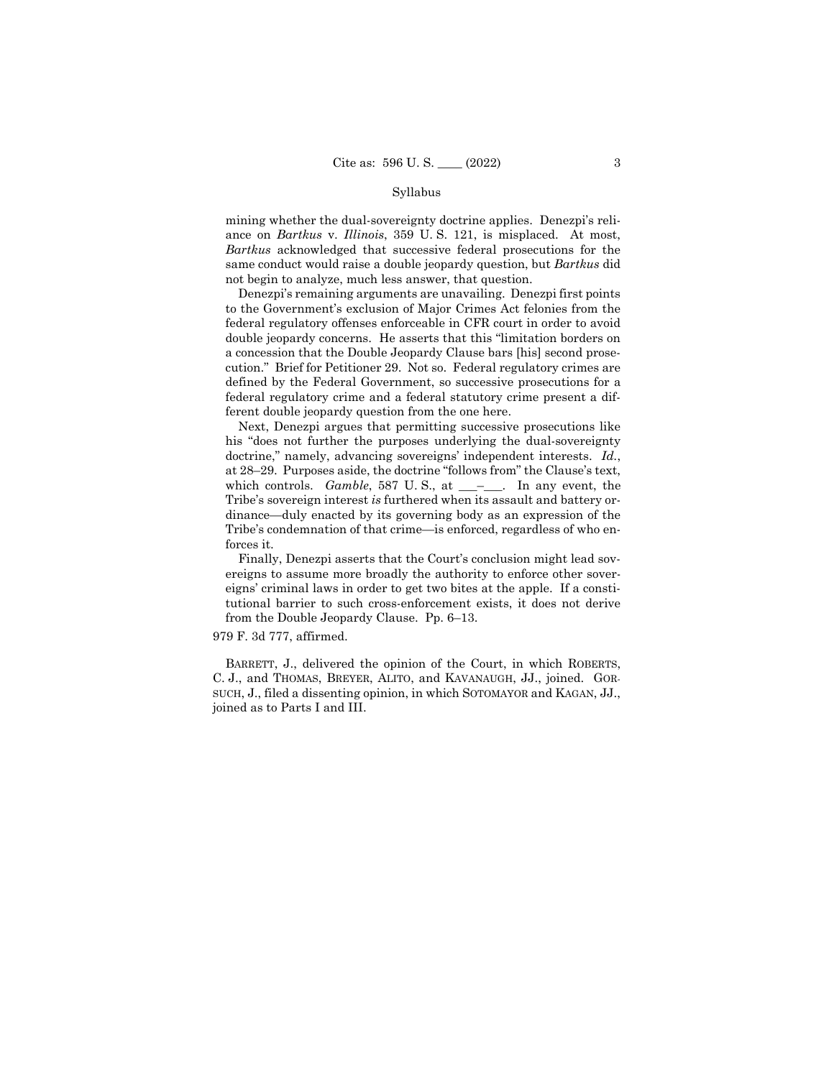#### Syllabus

mining whether the dual-sovereignty doctrine applies. Denezpi's reliance on *Bartkus* v. *Illinois*, 359 U. S. 121, is misplaced. At most, *Bartkus* acknowledged that successive federal prosecutions for the same conduct would raise a double jeopardy question, but *Bartkus* did not begin to analyze, much less answer, that question.

Denezpi's remaining arguments are unavailing. Denezpi first points to the Government's exclusion of Major Crimes Act felonies from the federal regulatory offenses enforceable in CFR court in order to avoid double jeopardy concerns. He asserts that this "limitation borders on a concession that the Double Jeopardy Clause bars [his] second prosecution." Brief for Petitioner 29. Not so. Federal regulatory crimes are defined by the Federal Government, so successive prosecutions for a federal regulatory crime and a federal statutory crime present a different double jeopardy question from the one here.

 doctrine," namely, advancing sovereigns' independent interests. *Id.*, Next, Denezpi argues that permitting successive prosecutions like his "does not further the purposes underlying the dual-sovereignty at 28–29. Purposes aside, the doctrine "follows from" the Clause's text, which controls. *Gamble*, 587 U.S., at \_\_\_\_\_. In any event, the Tribe's sovereign interest *is* furthered when its assault and battery ordinance—duly enacted by its governing body as an expression of the Tribe's condemnation of that crime—is enforced, regardless of who enforces it.

Finally, Denezpi asserts that the Court's conclusion might lead sovereigns to assume more broadly the authority to enforce other sovereigns' criminal laws in order to get two bites at the apple. If a constitutional barrier to such cross-enforcement exists, it does not derive from the Double Jeopardy Clause. Pp. 6–13.

#### 979 F. 3d 777, affirmed.

BARRETT, J., delivered the opinion of the Court, in which ROBERTS, C. J., and THOMAS, BREYER, ALITO, and KAVANAUGH, JJ., joined. GOR-SUCH, J., filed a dissenting opinion, in which SOTOMAYOR and KAGAN, JJ., joined as to Parts I and III.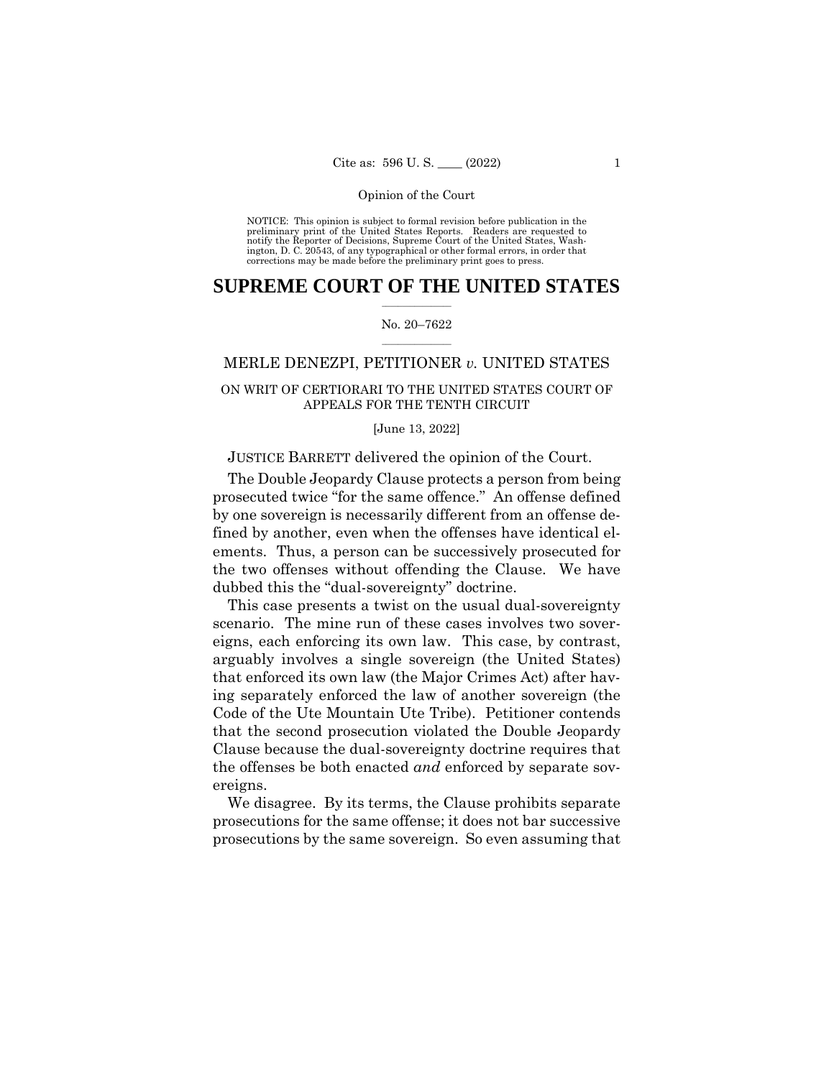NOTICE: This opinion is subject to formal revision before publication in the preliminary print of the United States Reports. Readers are requested to notify the Reporter of Decisions, Supreme Court of the United States, Wash-ington, D. C. 20543, of any typographical or other formal errors, in order that corrections may be made before the preliminary print goes to press.

## $\frac{1}{2}$  , where  $\frac{1}{2}$ **SUPREME COURT OF THE UNITED STATES**

#### $\frac{1}{2}$  ,  $\frac{1}{2}$  ,  $\frac{1}{2}$  ,  $\frac{1}{2}$  ,  $\frac{1}{2}$  ,  $\frac{1}{2}$ No. 20–7622

## MERLE DENEZPI, PETITIONER *v.* UNITED STATES

## ON WRIT OF CERTIORARI TO THE UNITED STATES COURT OF APPEALS FOR THE TENTH CIRCUIT

[June 13, 2022]

JUSTICE BARRETT delivered the opinion of the Court.

The Double Jeopardy Clause protects a person from being prosecuted twice "for the same offence." An offense defined by one sovereign is necessarily different from an offense defined by another, even when the offenses have identical elements. Thus, a person can be successively prosecuted for the two offenses without offending the Clause. We have dubbed this the "dual-sovereignty" doctrine.

This case presents a twist on the usual dual-sovereignty scenario. The mine run of these cases involves two sovereigns, each enforcing its own law. This case, by contrast, arguably involves a single sovereign (the United States) that enforced its own law (the Major Crimes Act) after having separately enforced the law of another sovereign (the Code of the Ute Mountain Ute Tribe). Petitioner contends that the second prosecution violated the Double Jeopardy Clause because the dual-sovereignty doctrine requires that the offenses be both enacted *and* enforced by separate sovereigns.

We disagree. By its terms, the Clause prohibits separate prosecutions for the same offense; it does not bar successive prosecutions by the same sovereign. So even assuming that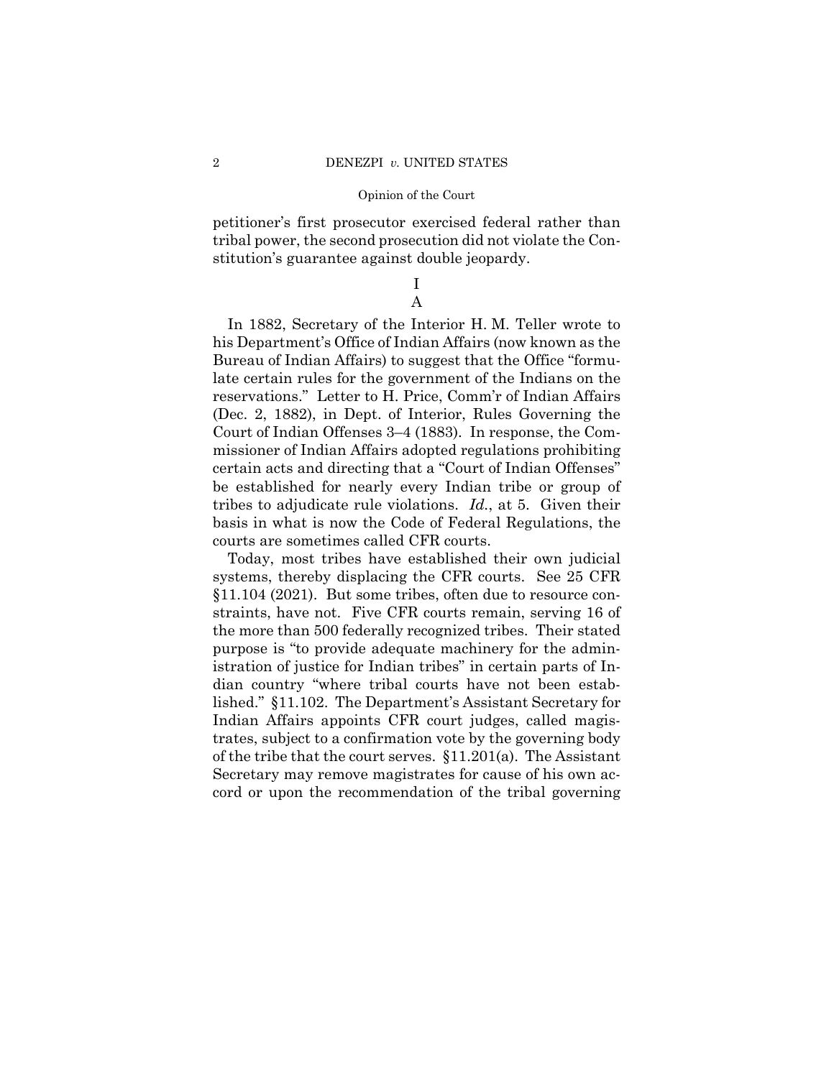petitioner's first prosecutor exercised federal rather than tribal power, the second prosecution did not violate the Constitution's guarantee against double jeopardy.

## I A

In 1882, Secretary of the Interior H. M. Teller wrote to his Department's Office of Indian Affairs (now known as the Bureau of Indian Affairs) to suggest that the Office "formulate certain rules for the government of the Indians on the reservations." Letter to H. Price, Comm'r of Indian Affairs (Dec. 2, 1882), in Dept. of Interior, Rules Governing the Court of Indian Offenses 3–4 (1883). In response, the Commissioner of Indian Affairs adopted regulations prohibiting certain acts and directing that a "Court of Indian Offenses" be established for nearly every Indian tribe or group of tribes to adjudicate rule violations. *Id.*, at 5. Given their basis in what is now the Code of Federal Regulations, the courts are sometimes called CFR courts.

Today, most tribes have established their own judicial systems, thereby displacing the CFR courts. See 25 CFR §11.104 (2021). But some tribes, often due to resource constraints, have not. Five CFR courts remain, serving 16 of the more than 500 federally recognized tribes. Their stated purpose is "to provide adequate machinery for the administration of justice for Indian tribes" in certain parts of Indian country "where tribal courts have not been established." §11.102. The Department's Assistant Secretary for Indian Affairs appoints CFR court judges, called magistrates, subject to a confirmation vote by the governing body of the tribe that the court serves. §11.201(a). The Assistant Secretary may remove magistrates for cause of his own accord or upon the recommendation of the tribal governing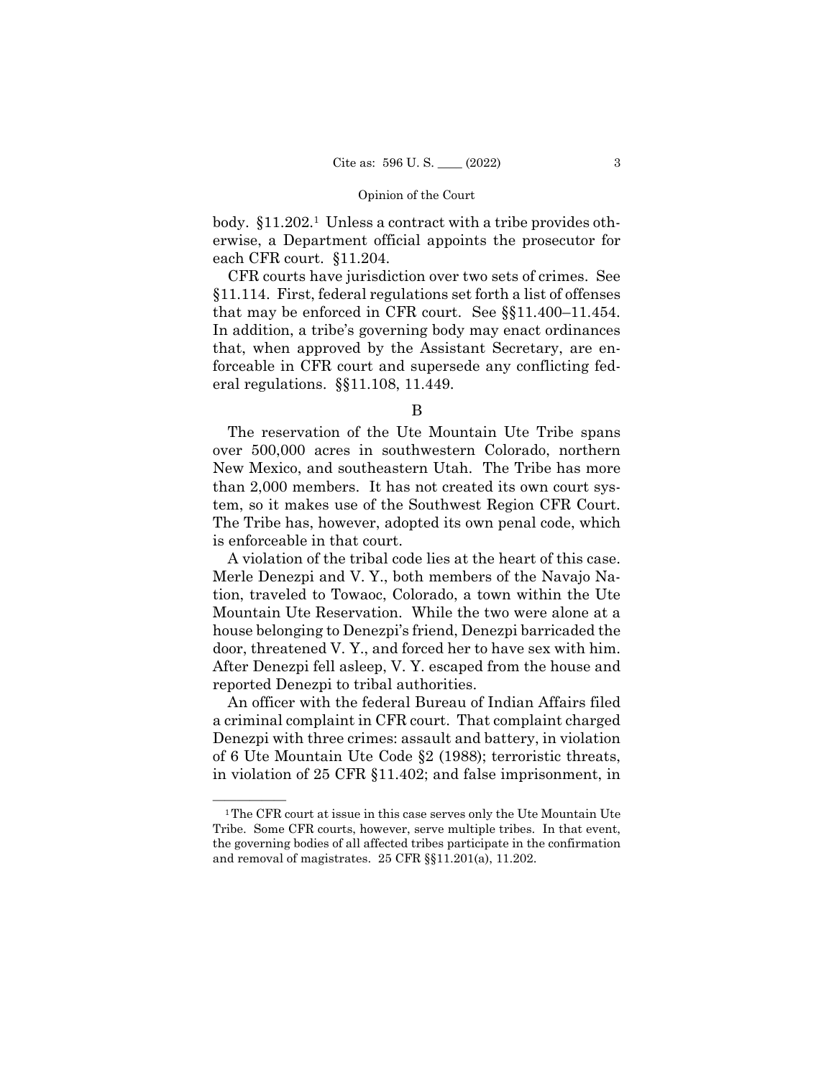body. §11.202.<sup>1</sup> Unless a contract with a tribe provides otherwise, a Department official appoints the prosecutor for each CFR court. §11.204.

CFR courts have jurisdiction over two sets of crimes. See §11.114. First, federal regulations set forth a list of offenses that may be enforced in CFR court. See §§11.400–11.454. In addition, a tribe's governing body may enact ordinances that, when approved by the Assistant Secretary, are enforceable in CFR court and supersede any conflicting federal regulations. §§11.108, 11.449.

The reservation of the Ute Mountain Ute Tribe spans over 500,000 acres in southwestern Colorado, northern New Mexico, and southeastern Utah. The Tribe has more than 2,000 members. It has not created its own court system, so it makes use of the Southwest Region CFR Court. The Tribe has, however, adopted its own penal code, which is enforceable in that court.

A violation of the tribal code lies at the heart of this case. Merle Denezpi and V. Y., both members of the Navajo Nation, traveled to Towaoc, Colorado, a town within the Ute Mountain Ute Reservation. While the two were alone at a house belonging to Denezpi's friend, Denezpi barricaded the door, threatened V. Y., and forced her to have sex with him. After Denezpi fell asleep, V. Y. escaped from the house and reported Denezpi to tribal authorities.

An officer with the federal Bureau of Indian Affairs filed a criminal complaint in CFR court. That complaint charged Denezpi with three crimes: assault and battery, in violation of 6 Ute Mountain Ute Code §2 (1988); terroristic threats, in violation of 25 CFR §11.402; and false imprisonment, in

B

 ${}^{1}$ The CFR court at issue in this case serves only the Ute Mountain Ute Tribe. Some CFR courts, however, serve multiple tribes. In that event, the governing bodies of all affected tribes participate in the confirmation and removal of magistrates. 25 CFR §§11.201(a), 11.202.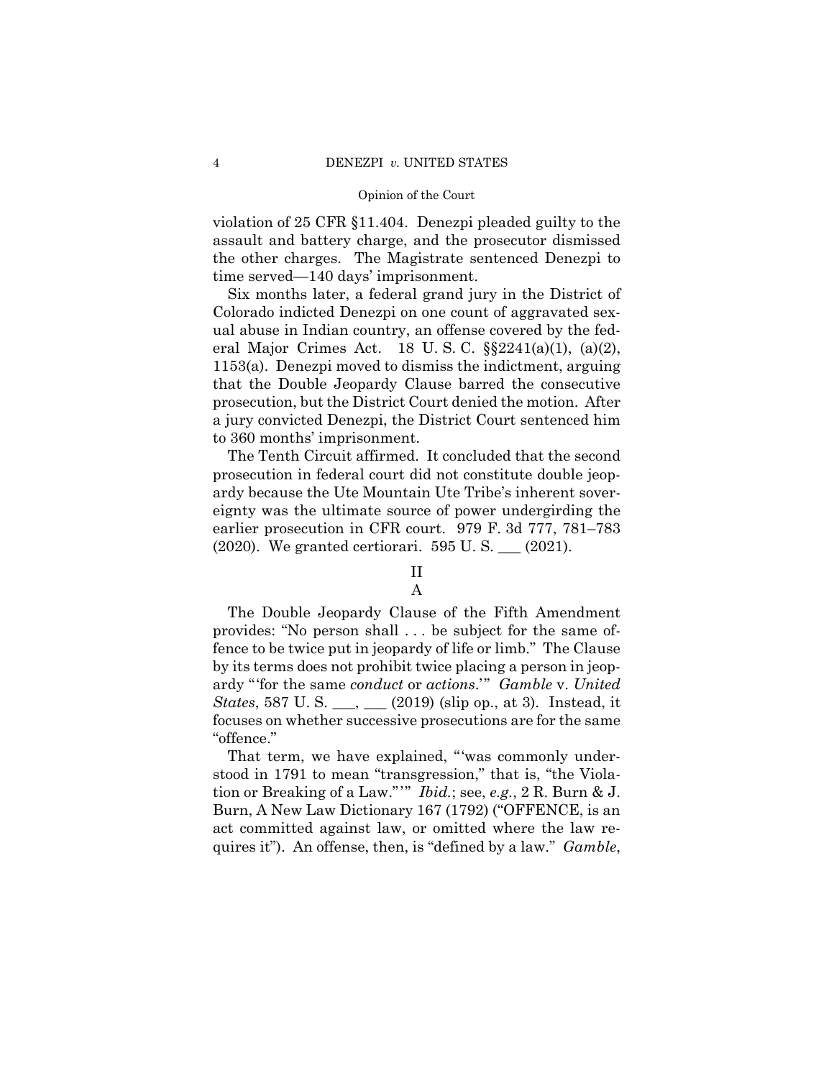violation of 25 CFR §11.404. Denezpi pleaded guilty to the assault and battery charge, and the prosecutor dismissed the other charges. The Magistrate sentenced Denezpi to time served—140 days' imprisonment.

Six months later, a federal grand jury in the District of Colorado indicted Denezpi on one count of aggravated sexual abuse in Indian country, an offense covered by the federal Major Crimes Act. 18 U. S. C. §§2241(a)(1), (a)(2), 1153(a). Denezpi moved to dismiss the indictment, arguing that the Double Jeopardy Clause barred the consecutive prosecution, but the District Court denied the motion. After a jury convicted Denezpi, the District Court sentenced him to 360 months' imprisonment.

The Tenth Circuit affirmed. It concluded that the second prosecution in federal court did not constitute double jeopardy because the Ute Mountain Ute Tribe's inherent sovereignty was the ultimate source of power undergirding the earlier prosecution in CFR court. 979 F. 3d 777, 781–783 (2020). We granted certiorari. 595 U. S. \_\_\_ (2021).

# II

## A

The Double Jeopardy Clause of the Fifth Amendment provides: "No person shall . . . be subject for the same offence to be twice put in jeopardy of life or limb." The Clause by its terms does not prohibit twice placing a person in jeopardy "'for the same *conduct* or *actions*.'" *Gamble* v. *United States*, 587 U. S. \_\_\_, \_\_\_ (2019) (slip op., at 3). Instead, it focuses on whether successive prosecutions are for the same "offence."

 tion or Breaking of a Law."'" *Ibid.*; see, *e.g.*, 2 R. Burn & J. That term, we have explained, "'was commonly understood in 1791 to mean "transgression," that is, "the Viola-Burn, A New Law Dictionary 167 (1792) ("OFFENCE, is an act committed against law, or omitted where the law requires it"). An offense, then, is "defined by a law." *Gamble*,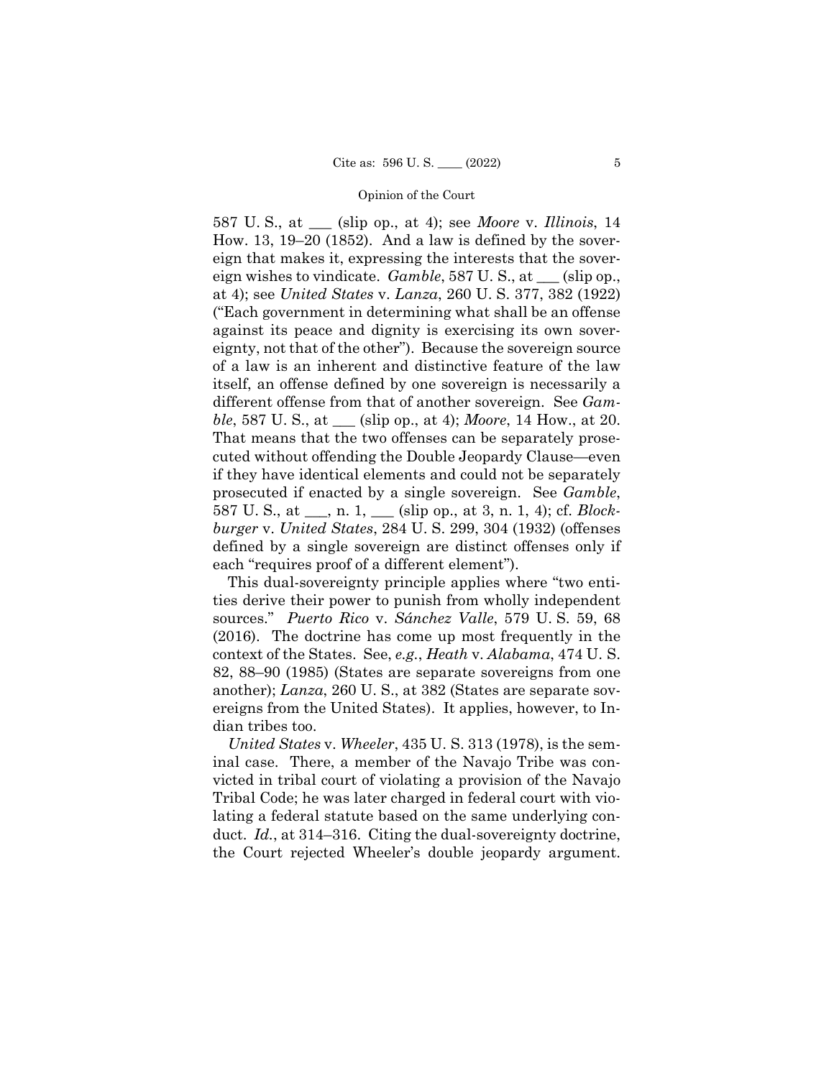587 U. S., at \_\_\_ (slip op., at 4); see *Moore* v. *Illinois*, 14 How. 13, 19–20 (1852). And a law is defined by the sovereign that makes it, expressing the interests that the sovereign wishes to vindicate. *Gamble*, 587 U. S., at \_\_\_ (slip op., at 4); see *United States* v. *Lanza*, 260 U. S. 377, 382 (1922) ("Each government in determining what shall be an offense against its peace and dignity is exercising its own sovereignty, not that of the other"). Because the sovereign source of a law is an inherent and distinctive feature of the law itself, an offense defined by one sovereign is necessarily a different offense from that of another sovereign. See *Gamble*, 587 U. S., at \_\_\_ (slip op., at 4); *Moore*, 14 How., at 20. That means that the two offenses can be separately prosecuted without offending the Double Jeopardy Clause—even if they have identical elements and could not be separately prosecuted if enacted by a single sovereign. See *Gamble*, 587 U. S., at \_\_\_, n. 1, \_\_\_ (slip op., at 3, n. 1, 4); cf. *Blockburger* v. *United States*, 284 U. S. 299, 304 (1932) (offenses defined by a single sovereign are distinct offenses only if each "requires proof of a different element").

This dual-sovereignty principle applies where "two entities derive their power to punish from wholly independent sources." *Puerto Rico* v. *Sánchez Valle*, 579 U. S. 59, 68 (2016). The doctrine has come up most frequently in the context of the States. See, *e.g.*, *Heath* v. *Alabama*, 474 U. S. 82, 88–90 (1985) (States are separate sovereigns from one another); *Lanza*, 260 U. S., at 382 (States are separate sovereigns from the United States). It applies, however, to Indian tribes too.

*United States* v. *Wheeler*, 435 U. S. 313 (1978), is the seminal case. There, a member of the Navajo Tribe was convicted in tribal court of violating a provision of the Navajo Tribal Code; he was later charged in federal court with violating a federal statute based on the same underlying conduct. *Id.*, at 314–316. Citing the dual-sovereignty doctrine, the Court rejected Wheeler's double jeopardy argument.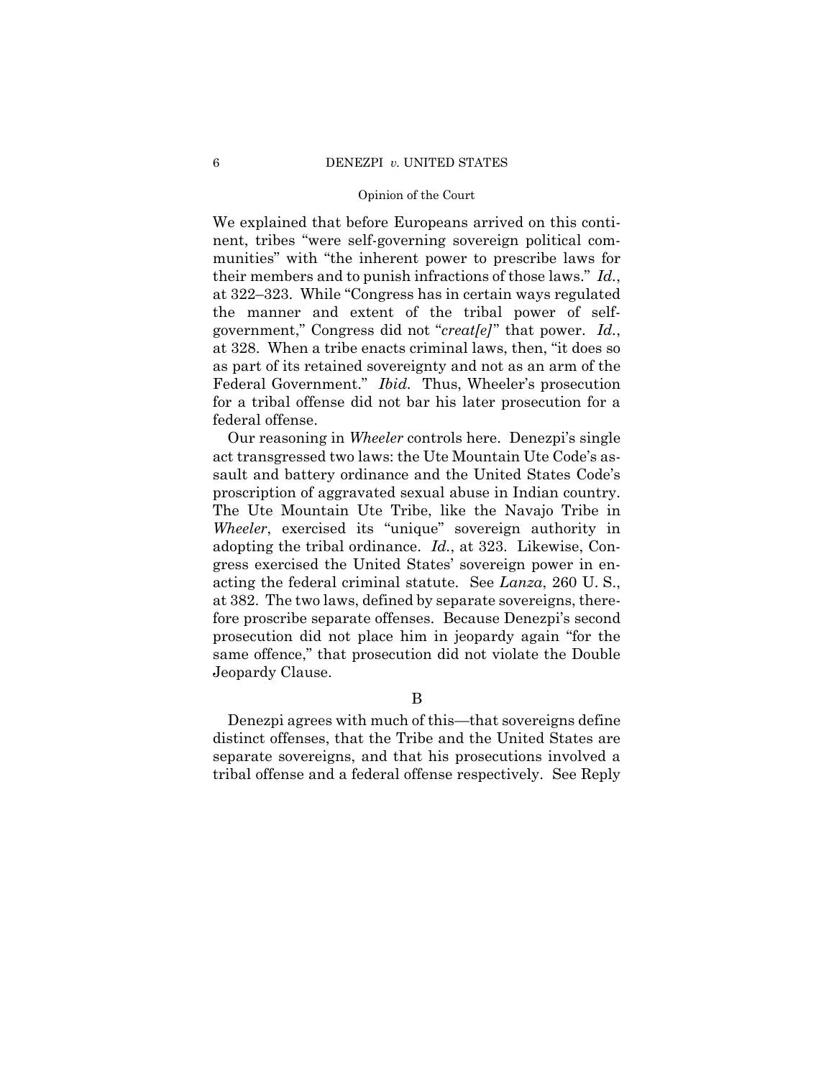We explained that before Europeans arrived on this continent, tribes "were self-governing sovereign political communities" with "the inherent power to prescribe laws for their members and to punish infractions of those laws." *Id.*, at 322–323. While "Congress has in certain ways regulated the manner and extent of the tribal power of selfgovernment," Congress did not "*creat[e]*" that power. *Id.*, at 328. When a tribe enacts criminal laws, then, "it does so as part of its retained sovereignty and not as an arm of the Federal Government." *Ibid.* Thus, Wheeler's prosecution for a tribal offense did not bar his later prosecution for a federal offense.

 proscription of aggravated sexual abuse in Indian country. Our reasoning in *Wheeler* controls here. Denezpi's single act transgressed two laws: the Ute Mountain Ute Code's assault and battery ordinance and the United States Code's The Ute Mountain Ute Tribe, like the Navajo Tribe in *Wheeler*, exercised its "unique" sovereign authority in adopting the tribal ordinance. *Id.*, at 323. Likewise, Congress exercised the United States' sovereign power in enacting the federal criminal statute. See *Lanza*, 260 U. S., at 382. The two laws, defined by separate sovereigns, therefore proscribe separate offenses. Because Denezpi's second prosecution did not place him in jeopardy again "for the same offence," that prosecution did not violate the Double Jeopardy Clause.

B

Denezpi agrees with much of this—that sovereigns define distinct offenses, that the Tribe and the United States are separate sovereigns, and that his prosecutions involved a tribal offense and a federal offense respectively. See Reply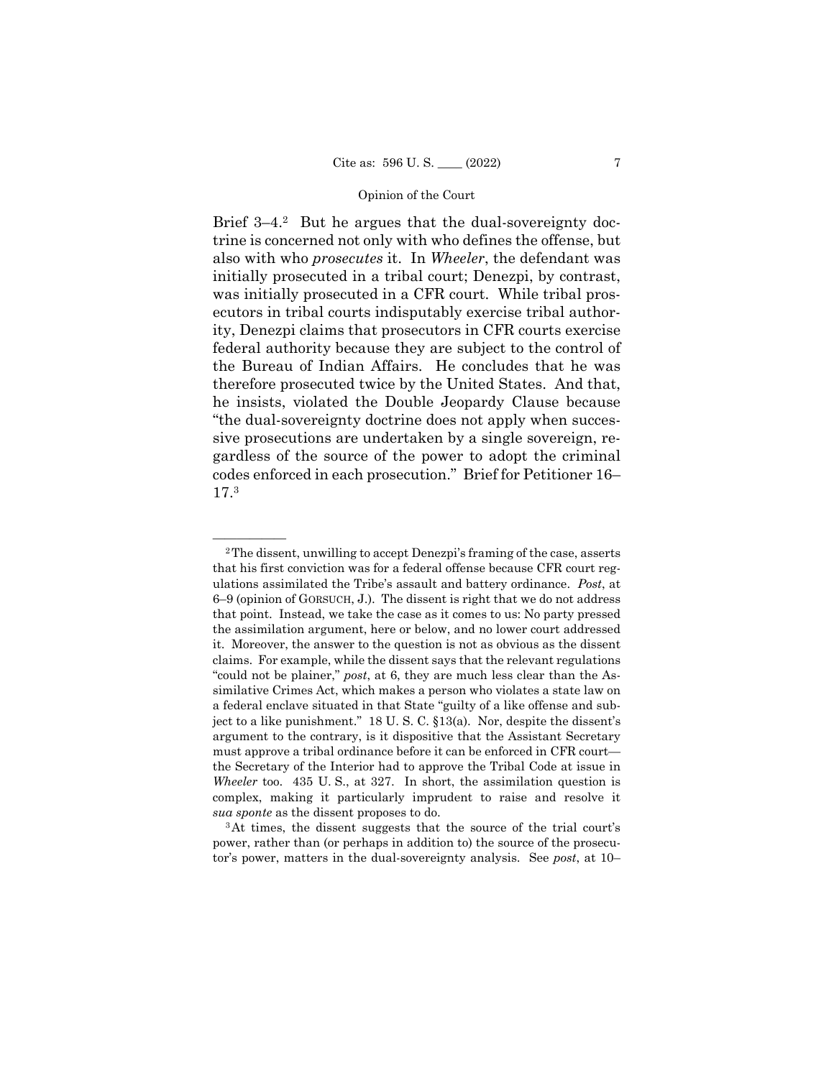Brief 3–4.<sup>2</sup> But he argues that the dual-sovereignty doctrine is concerned not only with who defines the offense, but also with who *prosecutes* it. In *Wheeler*, the defendant was initially prosecuted in a tribal court; Denezpi, by contrast, was initially prosecuted in a CFR court. While tribal prosecutors in tribal courts indisputably exercise tribal authority, Denezpi claims that prosecutors in CFR courts exercise federal authority because they are subject to the control of the Bureau of Indian Affairs. He concludes that he was therefore prosecuted twice by the United States. And that, he insists, violated the Double Jeopardy Clause because "the dual-sovereignty doctrine does not apply when successive prosecutions are undertaken by a single sovereign, regardless of the source of the power to adopt the criminal codes enforced in each prosecution." Brief for Petitioner 16– 17.3

<sup>&</sup>lt;sup>2</sup>The dissent, unwilling to accept Denezpi's framing of the case, asserts that his first conviction was for a federal offense because CFR court regulations assimilated the Tribe's assault and battery ordinance. *Post*, at 6–9 (opinion of GORSUCH, J.). The dissent is right that we do not address that point. Instead, we take the case as it comes to us: No party pressed the assimilation argument, here or below, and no lower court addressed it. Moreover, the answer to the question is not as obvious as the dissent claims. For example, while the dissent says that the relevant regulations "could not be plainer," *post*, at 6, they are much less clear than the Assimilative Crimes Act, which makes a person who violates a state law on a federal enclave situated in that State "guilty of a like offense and subject to a like punishment." 18 U. S. C. §13(a). Nor, despite the dissent's argument to the contrary, is it dispositive that the Assistant Secretary must approve a tribal ordinance before it can be enforced in CFR court the Secretary of the Interior had to approve the Tribal Code at issue in *Wheeler* too. 435 U. S., at 327. In short, the assimilation question is complex, making it particularly imprudent to raise and resolve it

*sua sponte* as the dissent proposes to do.<br><sup>3</sup>At times, the dissent suggests that the source of the trial court's power, rather than (or perhaps in addition to) the source of the prosecutor's power, matters in the dual-sovereignty analysis. See *post*, at 10–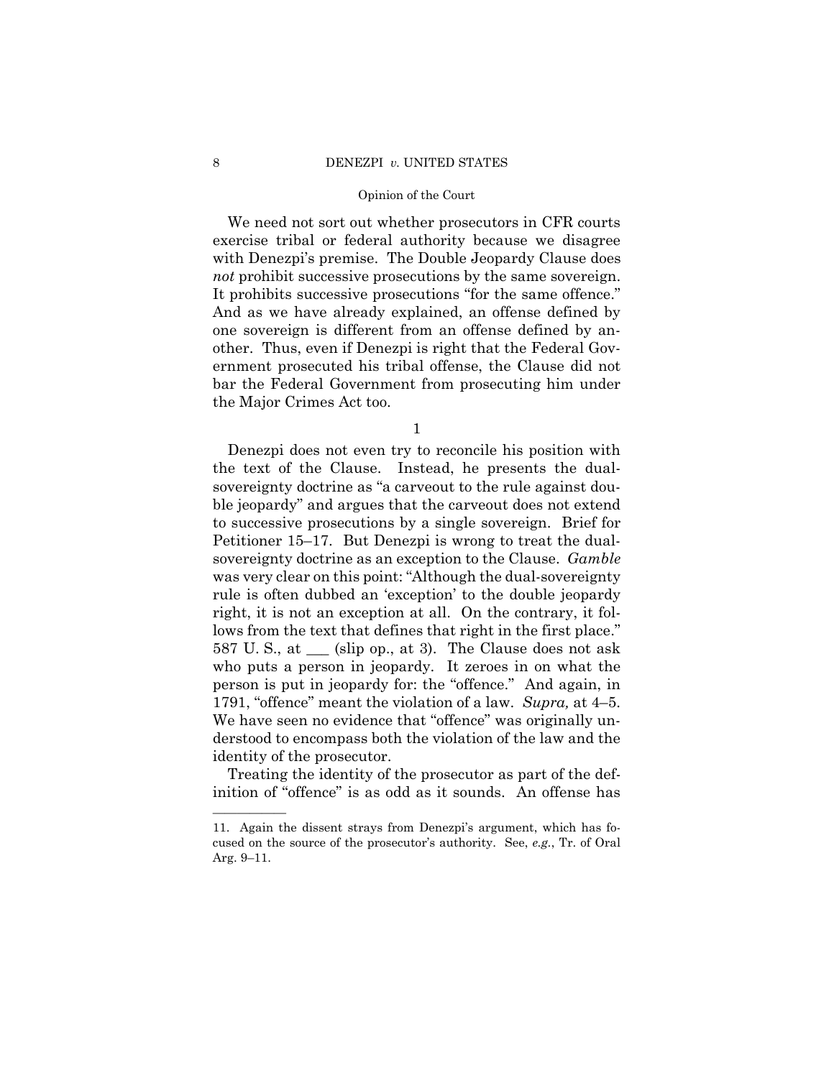### 8 DENEZPI *v.* UNITED STATES

#### Opinion of the Court

We need not sort out whether prosecutors in CFR courts exercise tribal or federal authority because we disagree with Denezpi's premise. The Double Jeopardy Clause does *not* prohibit successive prosecutions by the same sovereign. It prohibits successive prosecutions "for the same offence." And as we have already explained, an offense defined by one sovereign is different from an offense defined by another. Thus, even if Denezpi is right that the Federal Government prosecuted his tribal offense, the Clause did not bar the Federal Government from prosecuting him under the Major Crimes Act too.

1

Denezpi does not even try to reconcile his position with the text of the Clause. Instead, he presents the dualsovereignty doctrine as "a carveout to the rule against double jeopardy" and argues that the carveout does not extend to successive prosecutions by a single sovereign. Brief for Petitioner 15–17. But Denezpi is wrong to treat the dualsovereignty doctrine as an exception to the Clause. *Gamble*  was very clear on this point: "Although the dual-sovereignty rule is often dubbed an 'exception' to the double jeopardy right, it is not an exception at all. On the contrary, it follows from the text that defines that right in the first place."  $587 \text{ U.S., at }$  (slip op., at 3). The Clause does not ask who puts a person in jeopardy. It zeroes in on what the person is put in jeopardy for: the "offence." And again, in 1791, "offence" meant the violation of a law. *Supra,* at 4–5. We have seen no evidence that "offence" was originally understood to encompass both the violation of the law and the identity of the prosecutor.

Treating the identity of the prosecutor as part of the definition of "offence" is as odd as it sounds. An offense has

——————

<sup>11.</sup> Again the dissent strays from Denezpi's argument, which has focused on the source of the prosecutor's authority. See, *e.g.*, Tr. of Oral Arg. 9–11.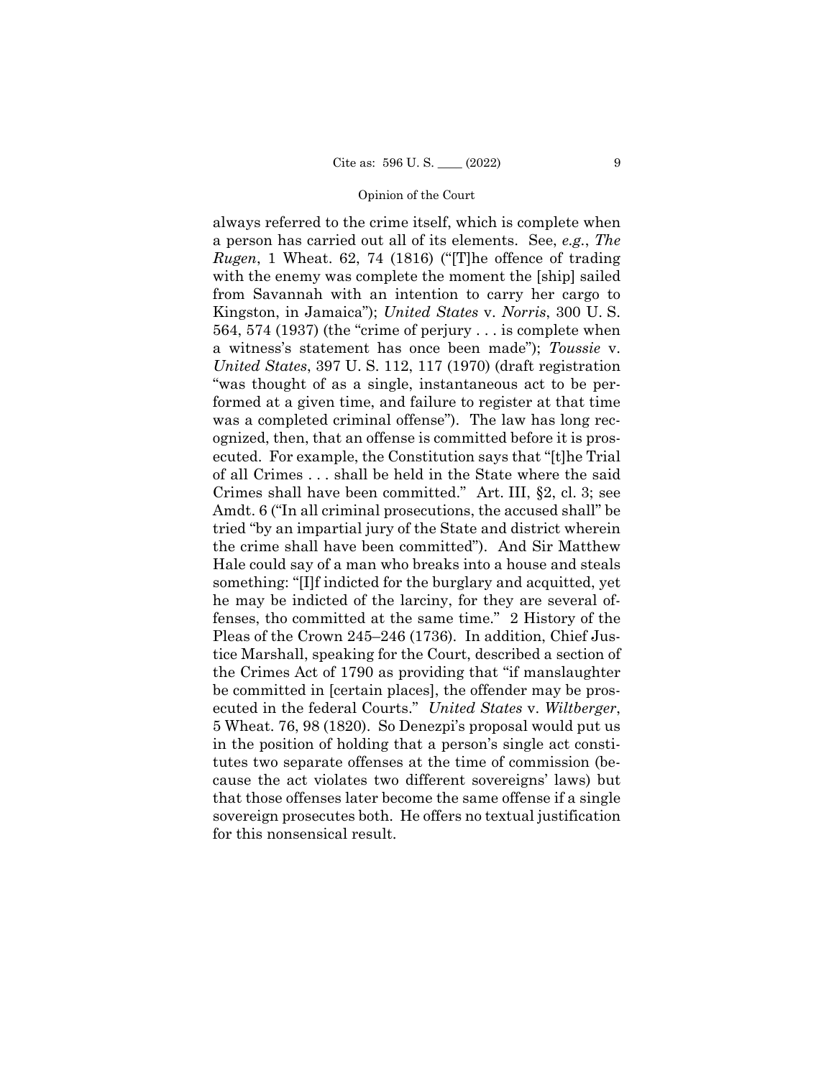always referred to the crime itself, which is complete when a person has carried out all of its elements. See, *e.g.*, *The Rugen*, 1 Wheat. 62, 74 (1816) ("[T]he offence of trading with the enemy was complete the moment the [ship] sailed from Savannah with an intention to carry her cargo to Kingston, in Jamaica"); *United States* v. *Norris*, 300 U. S. 564, 574 (1937) (the "crime of perjury . . . is complete when a witness's statement has once been made"); *Toussie* v. *United States*, 397 U. S. 112, 117 (1970) (draft registration "was thought of as a single, instantaneous act to be performed at a given time, and failure to register at that time was a completed criminal offense"). The law has long recognized, then, that an offense is committed before it is prosecuted. For example, the Constitution says that "[t]he Trial of all Crimes . . . shall be held in the State where the said Crimes shall have been committed." Art. III, §2, cl. 3; see Amdt. 6 ("In all criminal prosecutions, the accused shall" be tried "by an impartial jury of the State and district wherein the crime shall have been committed"). And Sir Matthew Hale could say of a man who breaks into a house and steals something: "[I]f indicted for the burglary and acquitted, yet he may be indicted of the larciny, for they are several offenses, tho committed at the same time." 2 History of the Pleas of the Crown 245–246 (1736). In addition, Chief Justice Marshall, speaking for the Court, described a section of the Crimes Act of 1790 as providing that "if manslaughter be committed in [certain places], the offender may be prosecuted in the federal Courts." *United States* v. *Wiltberger*, 5 Wheat. 76, 98 (1820). So Denezpi's proposal would put us in the position of holding that a person's single act constitutes two separate offenses at the time of commission (because the act violates two different sovereigns' laws) but that those offenses later become the same offense if a single sovereign prosecutes both. He offers no textual justification for this nonsensical result.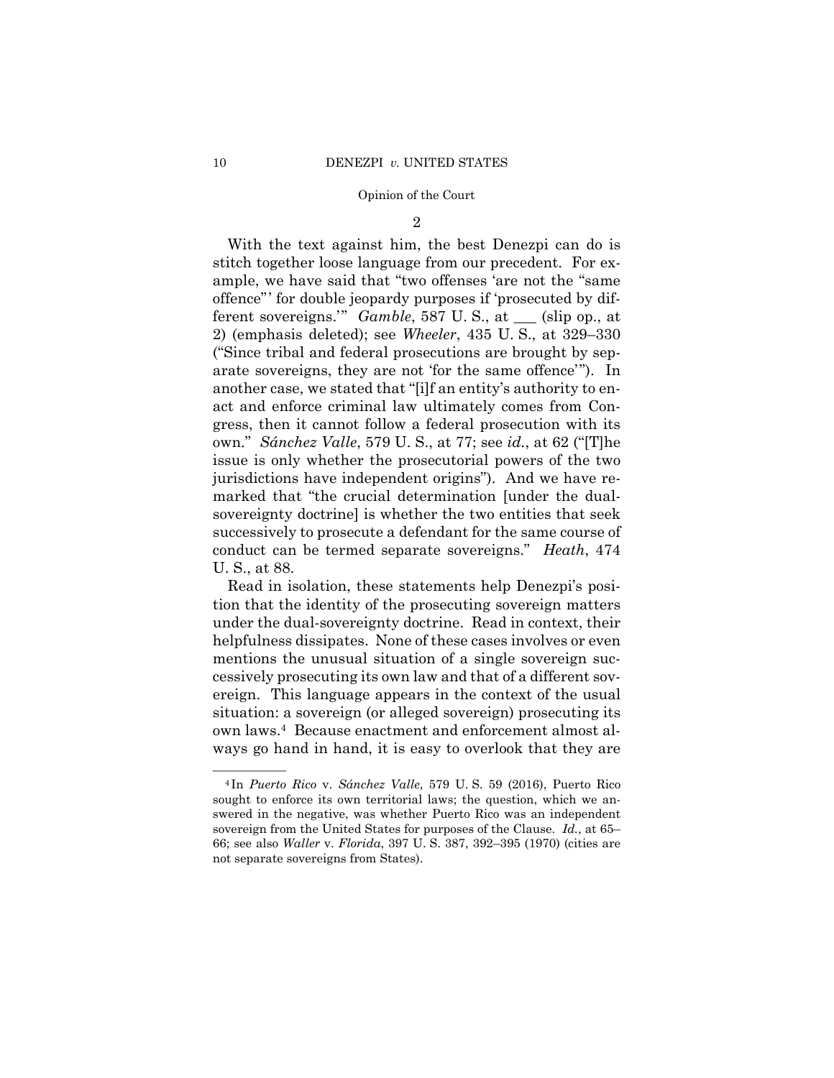2

With the text against him, the best Denezpi can do is stitch together loose language from our precedent. For example, we have said that "two offenses 'are not the "same offence"' for double jeopardy purposes if 'prosecuted by different sovereigns.'" *Gamble*, 587 U. S., at \_\_\_ (slip op., at 2) (emphasis deleted); see *Wheeler*, 435 U. S., at 329–330 ("Since tribal and federal prosecutions are brought by separate sovereigns, they are not 'for the same offence'"). In another case, we stated that "[i]f an entity's authority to enact and enforce criminal law ultimately comes from Congress, then it cannot follow a federal prosecution with its own." *Sánchez Valle*, 579 U. S., at 77; see *id.*, at 62 ("[T]he issue is only whether the prosecutorial powers of the two jurisdictions have independent origins"). And we have remarked that "the crucial determination [under the dualsovereignty doctrine] is whether the two entities that seek successively to prosecute a defendant for the same course of conduct can be termed separate sovereigns." *Heath*, 474 U. S., at 88.

Read in isolation, these statements help Denezpi's position that the identity of the prosecuting sovereign matters under the dual-sovereignty doctrine. Read in context, their helpfulness dissipates. None of these cases involves or even mentions the unusual situation of a single sovereign successively prosecuting its own law and that of a different sovereign. This language appears in the context of the usual situation: a sovereign (or alleged sovereign) prosecuting its own laws.4 Because enactment and enforcement almost always go hand in hand, it is easy to overlook that they are

<sup>&</sup>lt;sup>4</sup>In *Puerto Rico* v. *Sánchez Valle*, 579 U. S. 59 (2016), Puerto Rico sought to enforce its own territorial laws; the question, which we answered in the negative, was whether Puerto Rico was an independent sovereign from the United States for purposes of the Clause. *Id.*, at 65– 66; see also *Waller* v. *Florida*, 397 U. S. 387, 392–395 (1970) (cities are not separate sovereigns from States).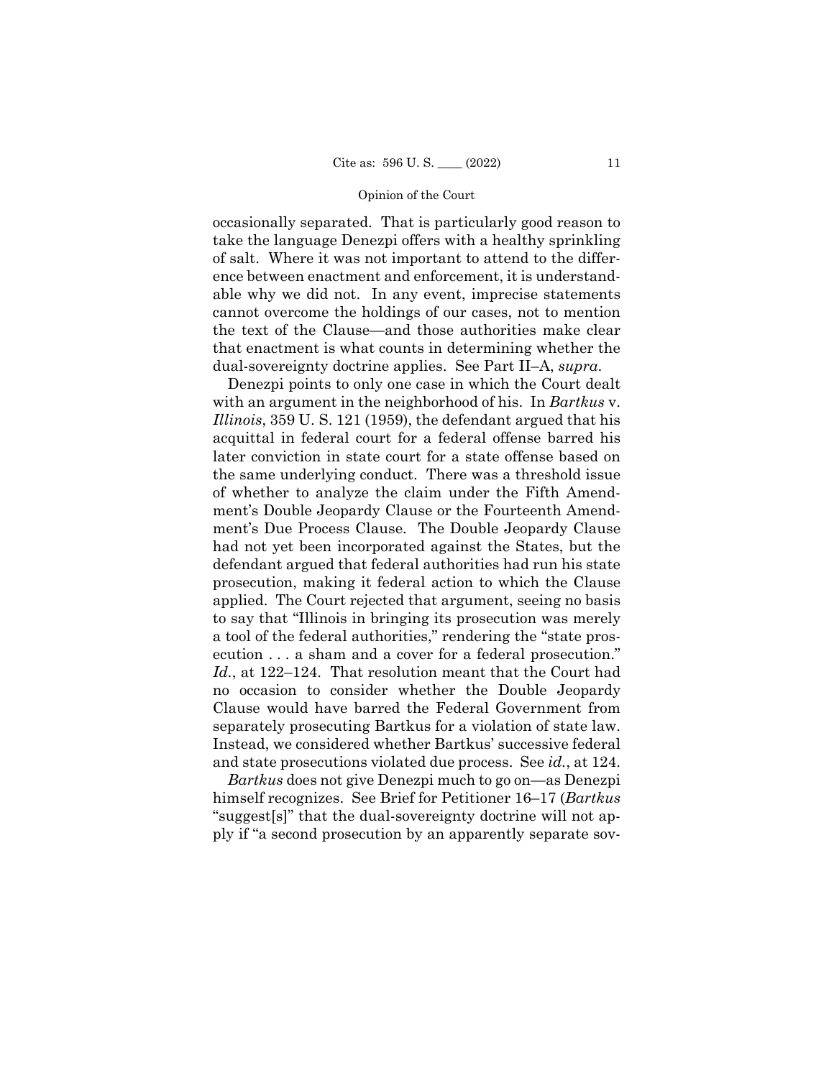occasionally separated. That is particularly good reason to take the language Denezpi offers with a healthy sprinkling of salt. Where it was not important to attend to the difference between enactment and enforcement, it is understandable why we did not. In any event, imprecise statements cannot overcome the holdings of our cases, not to mention the text of the Clause—and those authorities make clear that enactment is what counts in determining whether the dual-sovereignty doctrine applies. See Part II–A, *supra*.

Denezpi points to only one case in which the Court dealt with an argument in the neighborhood of his. In *Bartkus* v. *Illinois*, 359 U. S. 121 (1959), the defendant argued that his acquittal in federal court for a federal offense barred his later conviction in state court for a state offense based on the same underlying conduct. There was a threshold issue of whether to analyze the claim under the Fifth Amendment's Double Jeopardy Clause or the Fourteenth Amendment's Due Process Clause. The Double Jeopardy Clause had not yet been incorporated against the States, but the defendant argued that federal authorities had run his state prosecution, making it federal action to which the Clause applied. The Court rejected that argument, seeing no basis to say that "Illinois in bringing its prosecution was merely a tool of the federal authorities," rendering the "state prosecution . . . a sham and a cover for a federal prosecution." *Id.*, at 122–124. That resolution meant that the Court had no occasion to consider whether the Double Jeopardy Clause would have barred the Federal Government from separately prosecuting Bartkus for a violation of state law. Instead, we considered whether Bartkus' successive federal and state prosecutions violated due process. See *id.*, at 124.

*Bartkus* does not give Denezpi much to go on—as Denezpi himself recognizes. See Brief for Petitioner 16–17 (*Bartkus*  "suggest[s]" that the dual-sovereignty doctrine will not apply if "a second prosecution by an apparently separate sov-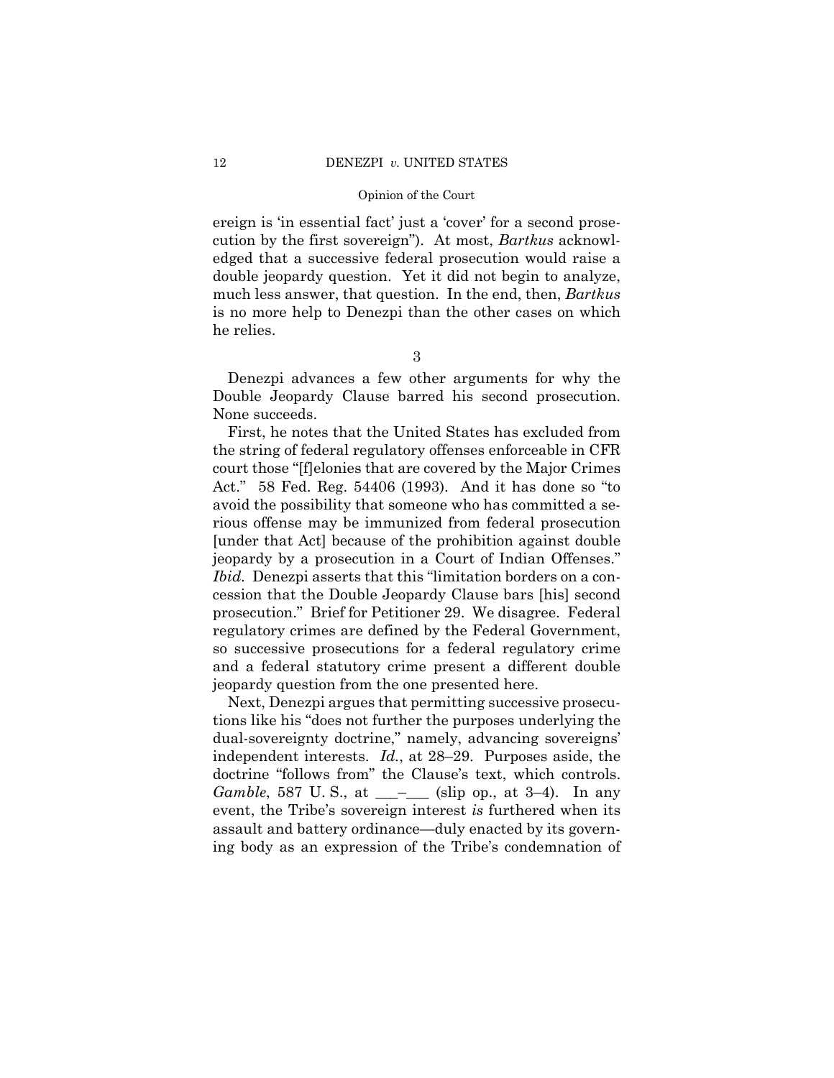ereign is 'in essential fact' just a 'cover' for a second prosecution by the first sovereign"). At most, *Bartkus* acknowledged that a successive federal prosecution would raise a double jeopardy question. Yet it did not begin to analyze, much less answer, that question. In the end, then, *Bartkus*  is no more help to Denezpi than the other cases on which he relies.

Denezpi advances a few other arguments for why the Double Jeopardy Clause barred his second prosecution. None succeeds.

First, he notes that the United States has excluded from the string of federal regulatory offenses enforceable in CFR court those "[f]elonies that are covered by the Major Crimes Act." 58 Fed. Reg. 54406 (1993). And it has done so "to avoid the possibility that someone who has committed a serious offense may be immunized from federal prosecution [under that Act] because of the prohibition against double jeopardy by a prosecution in a Court of Indian Offenses." *Ibid.* Denezpi asserts that this "limitation borders on a concession that the Double Jeopardy Clause bars [his] second prosecution." Brief for Petitioner 29. We disagree. Federal regulatory crimes are defined by the Federal Government, so successive prosecutions for a federal regulatory crime and a federal statutory crime present a different double jeopardy question from the one presented here.

Next, Denezpi argues that permitting successive prosecutions like his "does not further the purposes underlying the dual-sovereignty doctrine," namely, advancing sovereigns' independent interests. *Id.*, at 28–29. Purposes aside, the doctrine "follows from" the Clause's text, which controls. *Gamble*, 587 U.S., at \_\_\_\_\_\_\_ (slip op., at 3–4). In any event, the Tribe's sovereign interest *is* furthered when its assault and battery ordinance—duly enacted by its governing body as an expression of the Tribe's condemnation of

<sup>3</sup>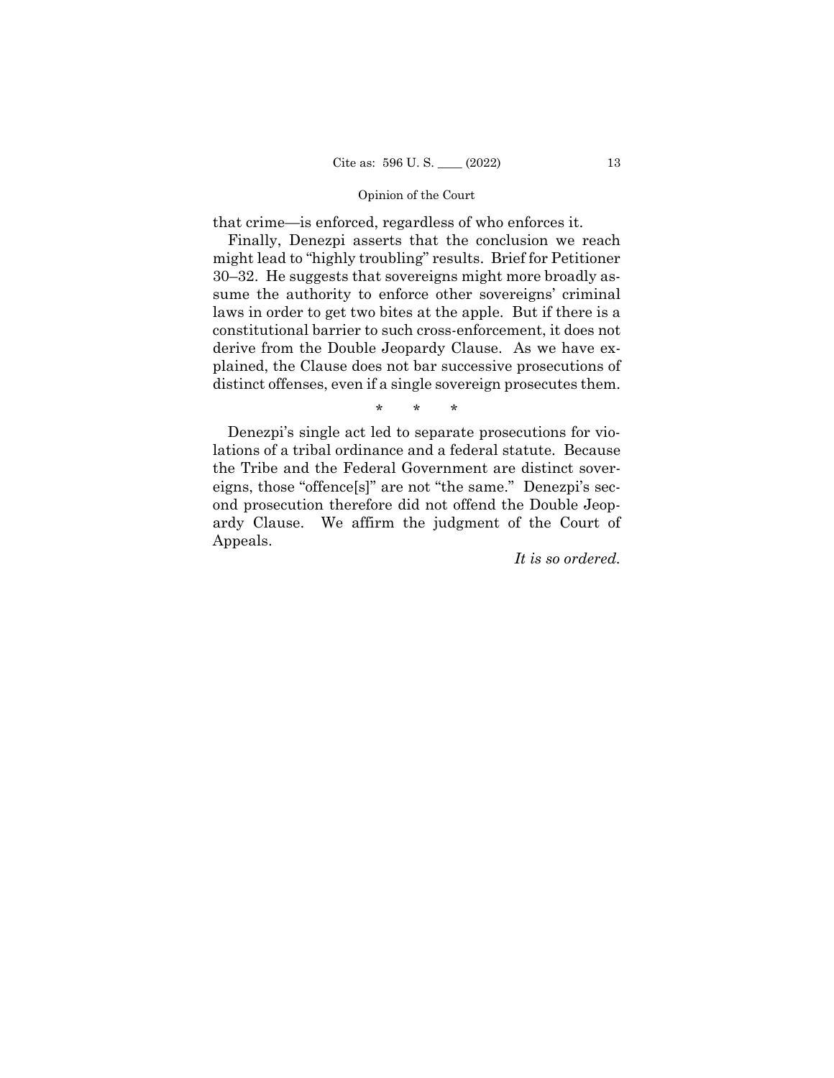that crime—is enforced, regardless of who enforces it.

Finally, Denezpi asserts that the conclusion we reach might lead to "highly troubling" results. Brief for Petitioner 30–32. He suggests that sovereigns might more broadly assume the authority to enforce other sovereigns' criminal laws in order to get two bites at the apple. But if there is a constitutional barrier to such cross-enforcement, it does not derive from the Double Jeopardy Clause. As we have explained, the Clause does not bar successive prosecutions of distinct offenses, even if a single sovereign prosecutes them.

\* \* \*

Denezpi's single act led to separate prosecutions for violations of a tribal ordinance and a federal statute. Because the Tribe and the Federal Government are distinct sovereigns, those "offence[s]" are not "the same." Denezpi's second prosecution therefore did not offend the Double Jeopardy Clause. We affirm the judgment of the Court of Appeals.

*It is so ordered.*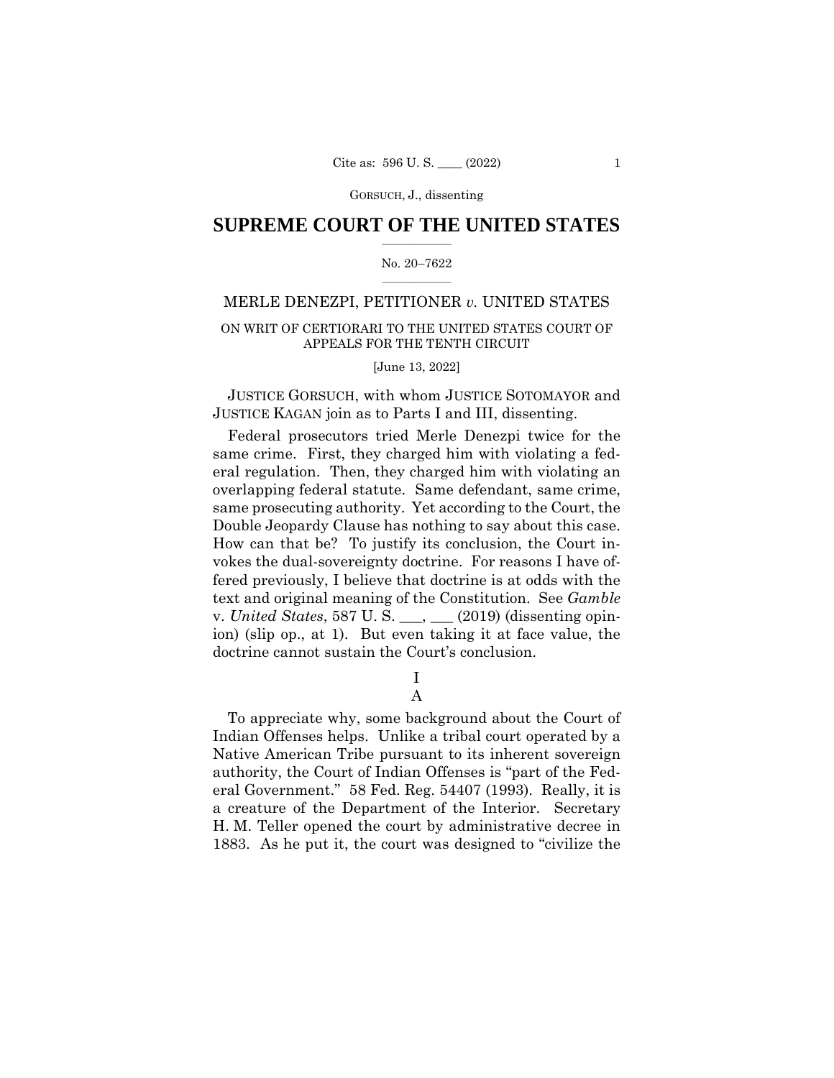## $\frac{1}{2}$  , where  $\frac{1}{2}$ **SUPREME COURT OF THE UNITED STATES**

#### $\frac{1}{2}$  ,  $\frac{1}{2}$  ,  $\frac{1}{2}$  ,  $\frac{1}{2}$  ,  $\frac{1}{2}$  ,  $\frac{1}{2}$ No. 20–7622

## MERLE DENEZPI, PETITIONER *v.* UNITED STATES

## ON WRIT OF CERTIORARI TO THE UNITED STATES COURT OF APPEALS FOR THE TENTH CIRCUIT

[June 13, 2022]

JUSTICE GORSUCH, with whom JUSTICE SOTOMAYOR and JUSTICE KAGAN join as to Parts I and III, dissenting.

Federal prosecutors tried Merle Denezpi twice for the same crime. First, they charged him with violating a federal regulation. Then, they charged him with violating an overlapping federal statute. Same defendant, same crime, same prosecuting authority. Yet according to the Court, the Double Jeopardy Clause has nothing to say about this case. How can that be? To justify its conclusion, the Court invokes the dual-sovereignty doctrine. For reasons I have offered previously, I believe that doctrine is at odds with the text and original meaning of the Constitution. See *Gamble*  v. *United States*, 587 U. S. \_\_\_, \_\_\_ (2019) (dissenting opinion) (slip op., at 1). But even taking it at face value, the doctrine cannot sustain the Court's conclusion.

> I A

To appreciate why, some background about the Court of Indian Offenses helps. Unlike a tribal court operated by a Native American Tribe pursuant to its inherent sovereign authority, the Court of Indian Offenses is "part of the Federal Government." 58 Fed. Reg. 54407 (1993). Really, it is a creature of the Department of the Interior. Secretary H. M. Teller opened the court by administrative decree in 1883. As he put it, the court was designed to "civilize the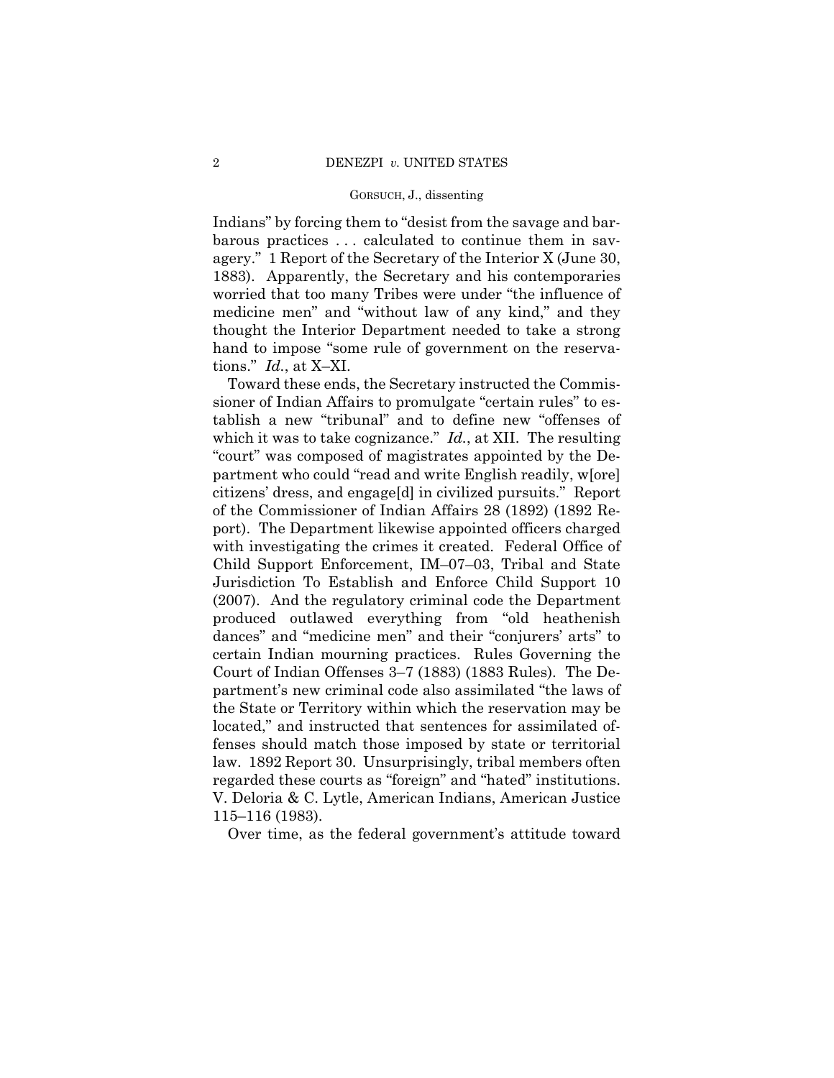Indians" by forcing them to "desist from the savage and barbarous practices . . . calculated to continue them in savagery." 1 Report of the Secretary of the Interior X (June 30, 1883). Apparently, the Secretary and his contemporaries worried that too many Tribes were under "the influence of medicine men" and "without law of any kind," and they thought the Interior Department needed to take a strong hand to impose "some rule of government on the reservations." *Id.*, at X–XI.

Toward these ends, the Secretary instructed the Commissioner of Indian Affairs to promulgate "certain rules" to establish a new "tribunal" and to define new "offenses of which it was to take cognizance." *Id.*, at XII. The resulting "court" was composed of magistrates appointed by the Department who could "read and write English readily, w[ore] citizens' dress, and engage[d] in civilized pursuits." Report of the Commissioner of Indian Affairs 28 (1892) (1892 Report). The Department likewise appointed officers charged with investigating the crimes it created. Federal Office of Child Support Enforcement, IM–07–03, Tribal and State Jurisdiction To Establish and Enforce Child Support 10 (2007). And the regulatory criminal code the Department produced outlawed everything from "old heathenish dances" and "medicine men" and their "conjurers' arts" to certain Indian mourning practices. Rules Governing the Court of Indian Offenses 3–7 (1883) (1883 Rules). The Department's new criminal code also assimilated "the laws of the State or Territory within which the reservation may be located," and instructed that sentences for assimilated offenses should match those imposed by state or territorial law. 1892 Report 30. Unsurprisingly, tribal members often regarded these courts as "foreign" and "hated" institutions. V. Deloria & C. Lytle, American Indians, American Justice 115–116 (1983).

Over time, as the federal government's attitude toward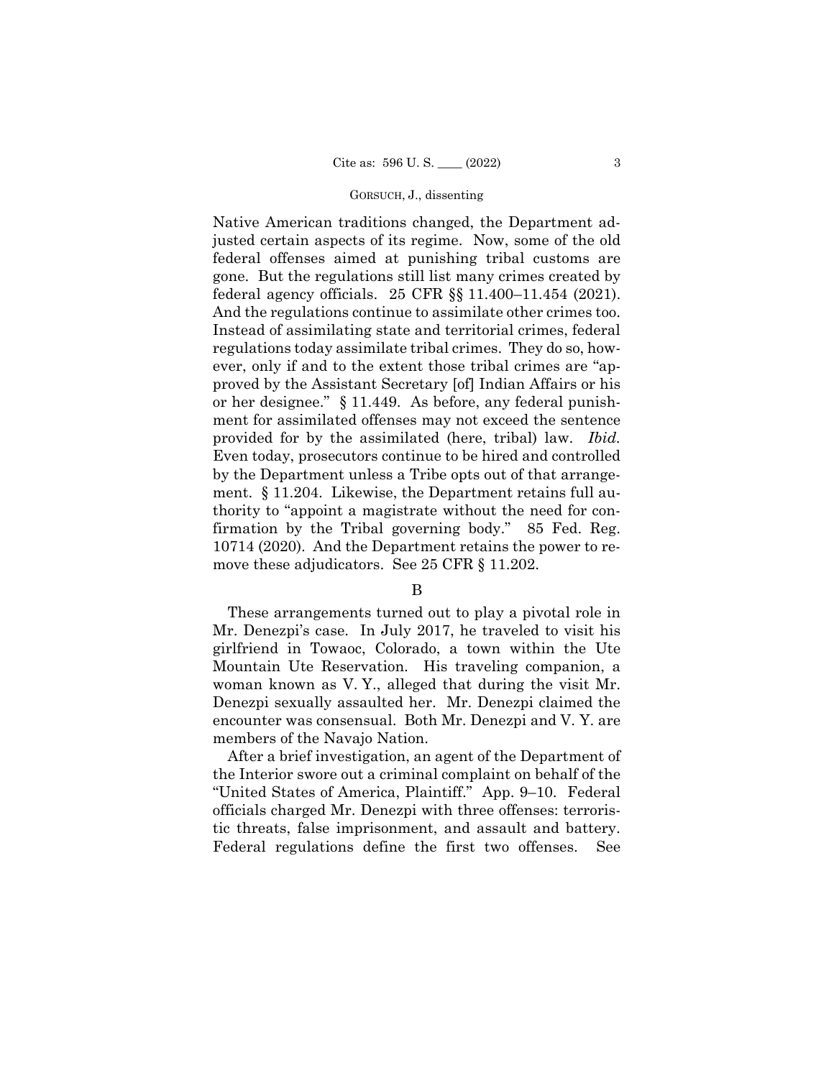federal agency officials. 25 CFR §§ 11.400–11.454 (2021). Native American traditions changed, the Department adjusted certain aspects of its regime. Now, some of the old federal offenses aimed at punishing tribal customs are gone. But the regulations still list many crimes created by And the regulations continue to assimilate other crimes too. Instead of assimilating state and territorial crimes, federal regulations today assimilate tribal crimes. They do so, however, only if and to the extent those tribal crimes are "approved by the Assistant Secretary [of] Indian Affairs or his or her designee." § 11.449. As before, any federal punishment for assimilated offenses may not exceed the sentence provided for by the assimilated (here, tribal) law. *Ibid.* Even today, prosecutors continue to be hired and controlled by the Department unless a Tribe opts out of that arrangement. § 11.204. Likewise, the Department retains full authority to "appoint a magistrate without the need for confirmation by the Tribal governing body." 85 Fed. Reg. 10714 (2020). And the Department retains the power to remove these adjudicators. See 25 CFR § 11.202.

## B

These arrangements turned out to play a pivotal role in Mr. Denezpi's case. In July 2017, he traveled to visit his girlfriend in Towaoc, Colorado, a town within the Ute Mountain Ute Reservation. His traveling companion, a woman known as V. Y., alleged that during the visit Mr. Denezpi sexually assaulted her. Mr. Denezpi claimed the encounter was consensual. Both Mr. Denezpi and V. Y. are members of the Navajo Nation.

 "United States of America, Plaintiff." App. 9–10. Federal tic threats, false imprisonment, and assault and battery. After a brief investigation, an agent of the Department of the Interior swore out a criminal complaint on behalf of the officials charged Mr. Denezpi with three offenses: terroris-Federal regulations define the first two offenses. See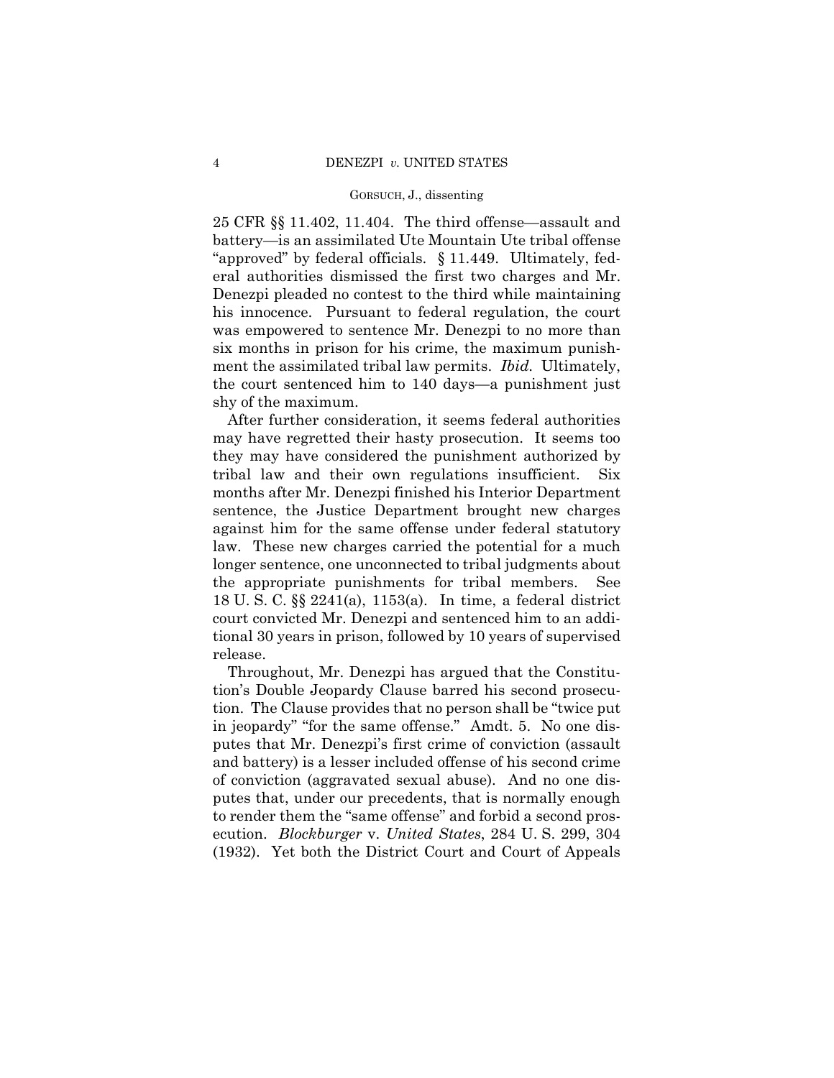ment the assimilated tribal law permits. *Ibid.* Ultimately, 25 CFR §§ 11.402, 11.404. The third offense—assault and battery—is an assimilated Ute Mountain Ute tribal offense "approved" by federal officials. § 11.449. Ultimately, federal authorities dismissed the first two charges and Mr. Denezpi pleaded no contest to the third while maintaining his innocence. Pursuant to federal regulation, the court was empowered to sentence Mr. Denezpi to no more than six months in prison for his crime, the maximum punishthe court sentenced him to 140 days—a punishment just shy of the maximum.

After further consideration, it seems federal authorities may have regretted their hasty prosecution. It seems too they may have considered the punishment authorized by tribal law and their own regulations insufficient. Six months after Mr. Denezpi finished his Interior Department sentence, the Justice Department brought new charges against him for the same offense under federal statutory law. These new charges carried the potential for a much longer sentence, one unconnected to tribal judgments about the appropriate punishments for tribal members. See 18 U. S. C. §§ 2241(a), 1153(a). In time, a federal district court convicted Mr. Denezpi and sentenced him to an additional 30 years in prison, followed by 10 years of supervised release.

Throughout, Mr. Denezpi has argued that the Constitution's Double Jeopardy Clause barred his second prosecution. The Clause provides that no person shall be "twice put in jeopardy" "for the same offense." Amdt. 5. No one disputes that Mr. Denezpi's first crime of conviction (assault and battery) is a lesser included offense of his second crime of conviction (aggravated sexual abuse). And no one disputes that, under our precedents, that is normally enough to render them the "same offense" and forbid a second prosecution. *Blockburger* v. *United States*, 284 U. S. 299, 304 (1932). Yet both the District Court and Court of Appeals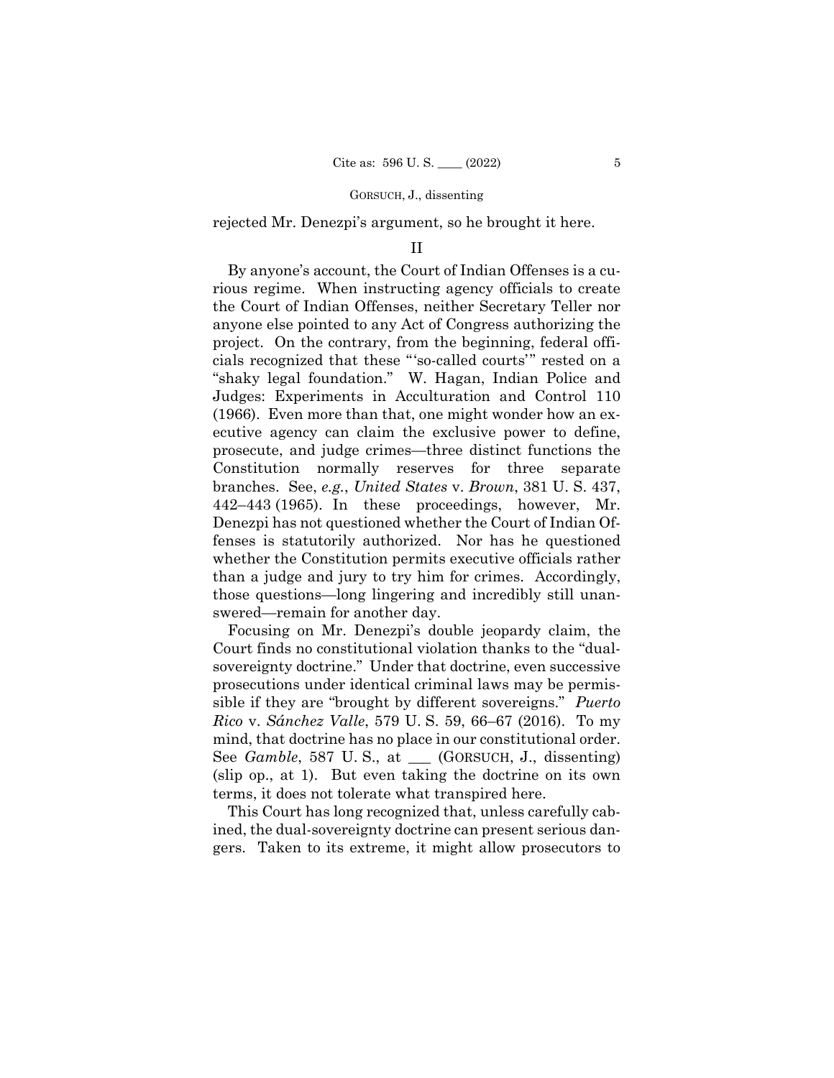rejected Mr. Denezpi's argument, so he brought it here.

## II

By anyone's account, the Court of Indian Offenses is a curious regime. When instructing agency officials to create the Court of Indian Offenses, neither Secretary Teller nor anyone else pointed to any Act of Congress authorizing the project. On the contrary, from the beginning, federal officials recognized that these "'so-called courts'" rested on a "shaky legal foundation." W. Hagan, Indian Police and Judges: Experiments in Acculturation and Control 110 (1966). Even more than that, one might wonder how an executive agency can claim the exclusive power to define, prosecute, and judge crimes—three distinct functions the Constitution normally reserves for three separate branches. See, *e.g.*, *United States* v. *Brown*, 381 U. S. 437, 442–443 (1965). In these proceedings, however, Mr. Denezpi has not questioned whether the Court of Indian Offenses is statutorily authorized. Nor has he questioned whether the Constitution permits executive officials rather than a judge and jury to try him for crimes. Accordingly, those questions—long lingering and incredibly still unanswered—remain for another day.

Focusing on Mr. Denezpi's double jeopardy claim, the Court finds no constitutional violation thanks to the "dualsovereignty doctrine." Under that doctrine, even successive prosecutions under identical criminal laws may be permissible if they are "brought by different sovereigns." *Puerto Rico* v. *Sánchez Valle*, 579 U. S. 59, 66–67 (2016). To my mind, that doctrine has no place in our constitutional order. See *Gamble*, 587 U.S., at (GORSUCH, J., dissenting) (slip op., at 1). But even taking the doctrine on its own terms, it does not tolerate what transpired here.

This Court has long recognized that, unless carefully cabined, the dual-sovereignty doctrine can present serious dangers. Taken to its extreme, it might allow prosecutors to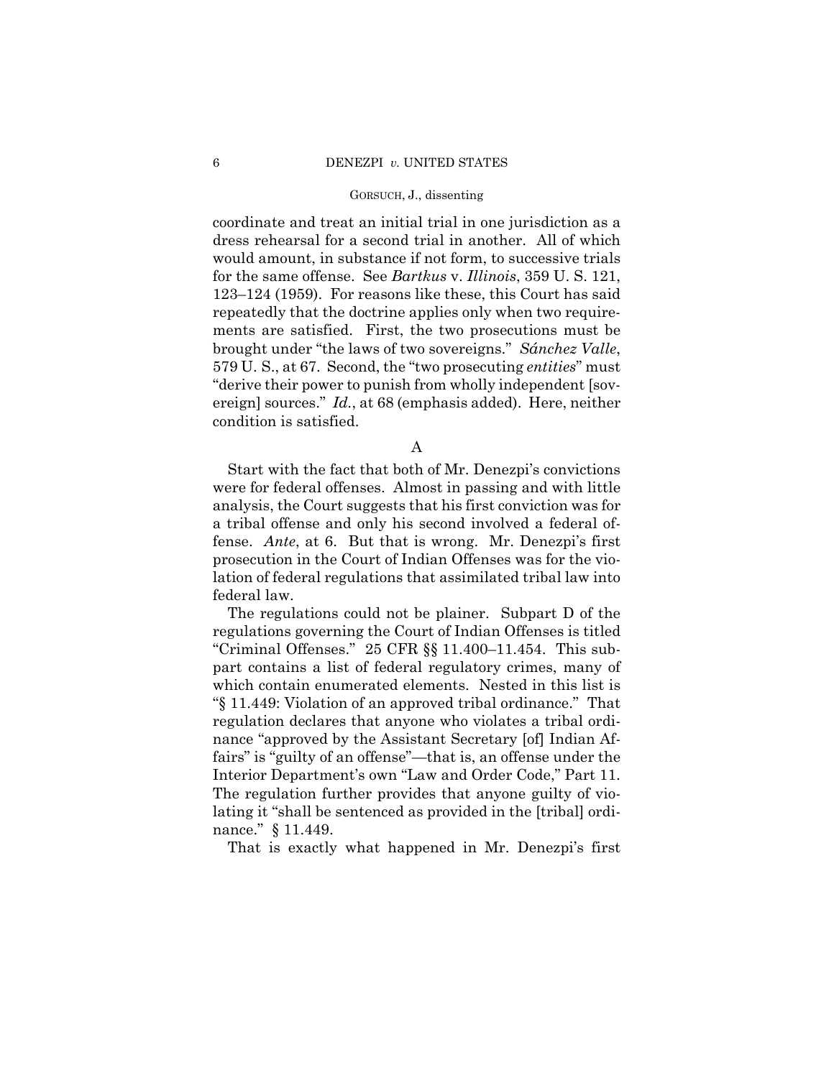coordinate and treat an initial trial in one jurisdiction as a dress rehearsal for a second trial in another. All of which would amount, in substance if not form, to successive trials for the same offense. See *Bartkus* v. *Illinois*, 359 U. S. 121, 123–124 (1959). For reasons like these, this Court has said repeatedly that the doctrine applies only when two requirements are satisfied. First, the two prosecutions must be brought under "the laws of two sovereigns." *Sánchez Valle*, 579 U. S., at 67. Second, the "two prosecuting *entities*" must "derive their power to punish from wholly independent [sovereign] sources." *Id.*, at 68 (emphasis added). Here, neither condition is satisfied.

A

Start with the fact that both of Mr. Denezpi's convictions were for federal offenses. Almost in passing and with little analysis, the Court suggests that his first conviction was for a tribal offense and only his second involved a federal offense. *Ante*, at 6. But that is wrong. Mr. Denezpi's first prosecution in the Court of Indian Offenses was for the violation of federal regulations that assimilated tribal law into federal law.

The regulations could not be plainer. Subpart D of the regulations governing the Court of Indian Offenses is titled "Criminal Offenses." 25 CFR §§ 11.400–11.454. This subpart contains a list of federal regulatory crimes, many of which contain enumerated elements. Nested in this list is "§ 11.449: Violation of an approved tribal ordinance." That regulation declares that anyone who violates a tribal ordinance "approved by the Assistant Secretary [of] Indian Affairs" is "guilty of an offense"—that is, an offense under the Interior Department's own "Law and Order Code," Part 11. The regulation further provides that anyone guilty of violating it "shall be sentenced as provided in the [tribal] ordinance." § 11.449.

That is exactly what happened in Mr. Denezpi's first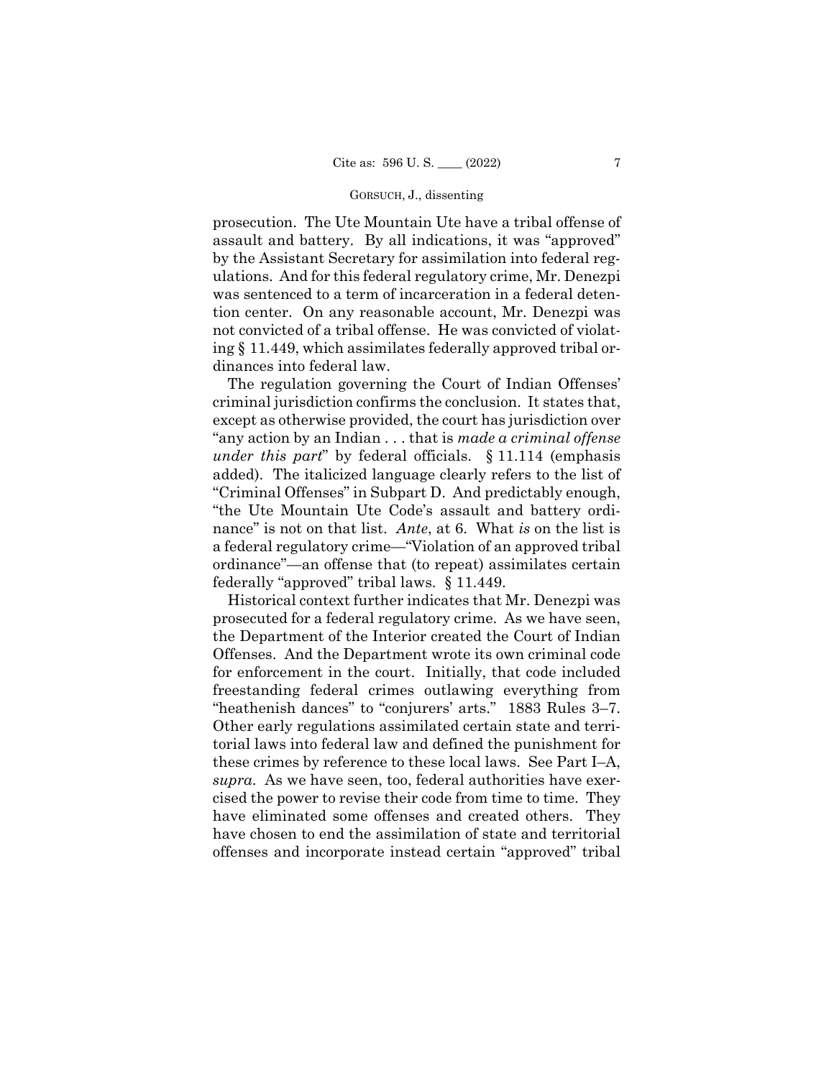prosecution. The Ute Mountain Ute have a tribal offense of assault and battery. By all indications, it was "approved" by the Assistant Secretary for assimilation into federal regulations. And for this federal regulatory crime, Mr. Denezpi was sentenced to a term of incarceration in a federal detention center. On any reasonable account, Mr. Denezpi was not convicted of a tribal offense. He was convicted of violating § 11.449, which assimilates federally approved tribal ordinances into federal law.

The regulation governing the Court of Indian Offenses' criminal jurisdiction confirms the conclusion. It states that, except as otherwise provided, the court has jurisdiction over "any action by an Indian . . . that is *made a criminal offense under this part*" by federal officials. § 11.114 (emphasis added). The italicized language clearly refers to the list of "Criminal Offenses" in Subpart D. And predictably enough, "the Ute Mountain Ute Code's assault and battery ordinance" is not on that list. *Ante*, at 6. What *is* on the list is a federal regulatory crime—"Violation of an approved tribal ordinance"—an offense that (to repeat) assimilates certain federally "approved" tribal laws. § 11.449.

Historical context further indicates that Mr. Denezpi was prosecuted for a federal regulatory crime. As we have seen, the Department of the Interior created the Court of Indian Offenses. And the Department wrote its own criminal code for enforcement in the court. Initially, that code included freestanding federal crimes outlawing everything from "heathenish dances" to "conjurers' arts." 1883 Rules 3–7. Other early regulations assimilated certain state and territorial laws into federal law and defined the punishment for these crimes by reference to these local laws. See Part I–A, *supra*. As we have seen, too, federal authorities have exercised the power to revise their code from time to time. They have eliminated some offenses and created others. They have chosen to end the assimilation of state and territorial offenses and incorporate instead certain "approved" tribal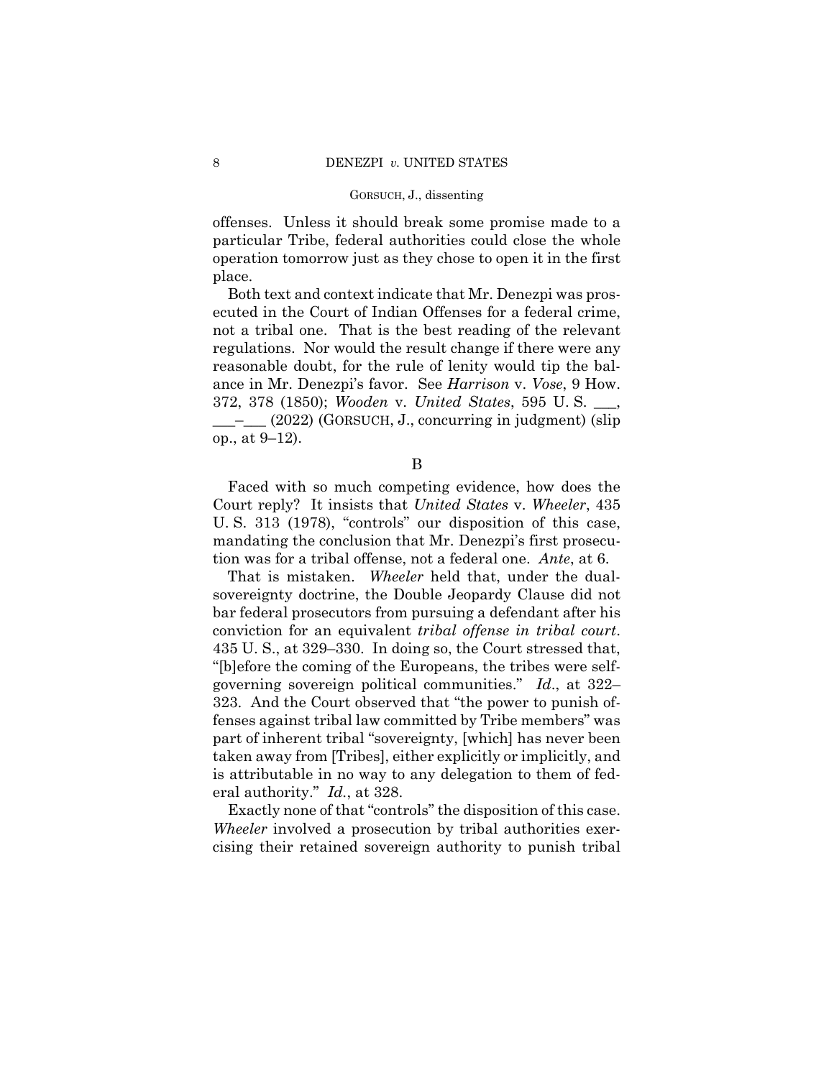offenses. Unless it should break some promise made to a particular Tribe, federal authorities could close the whole operation tomorrow just as they chose to open it in the first place.

Both text and context indicate that Mr. Denezpi was prosecuted in the Court of Indian Offenses for a federal crime, not a tribal one. That is the best reading of the relevant regulations. Nor would the result change if there were any reasonable doubt, for the rule of lenity would tip the balance in Mr. Denezpi's favor. See *Harrison* v. *Vose*, 9 How. 372, 378 (1850); *Wooden* v. *United States*, 595 U. S. \_\_\_,

 $\_\_\_\_$  (2022) (GORSUCH, J., concurring in judgment) (slip op., at 9–12).

B

Faced with so much competing evidence, how does the Court reply? It insists that *United States* v. *Wheeler*, 435 U. S. 313 (1978), "controls" our disposition of this case, mandating the conclusion that Mr. Denezpi's first prosecution was for a tribal offense, not a federal one. *Ante*, at 6.

That is mistaken. *Wheeler* held that, under the dualsovereignty doctrine, the Double Jeopardy Clause did not bar federal prosecutors from pursuing a defendant after his conviction for an equivalent *tribal offense in tribal court*. 435 U. S., at 329–330. In doing so, the Court stressed that, "[b]efore the coming of the Europeans, the tribes were selfgoverning sovereign political communities." *Id*., at 322– 323. And the Court observed that "the power to punish offenses against tribal law committed by Tribe members" was part of inherent tribal "sovereignty, [which] has never been taken away from [Tribes], either explicitly or implicitly, and is attributable in no way to any delegation to them of federal authority." *Id.*, at 328.

Exactly none of that "controls" the disposition of this case. *Wheeler* involved a prosecution by tribal authorities exercising their retained sovereign authority to punish tribal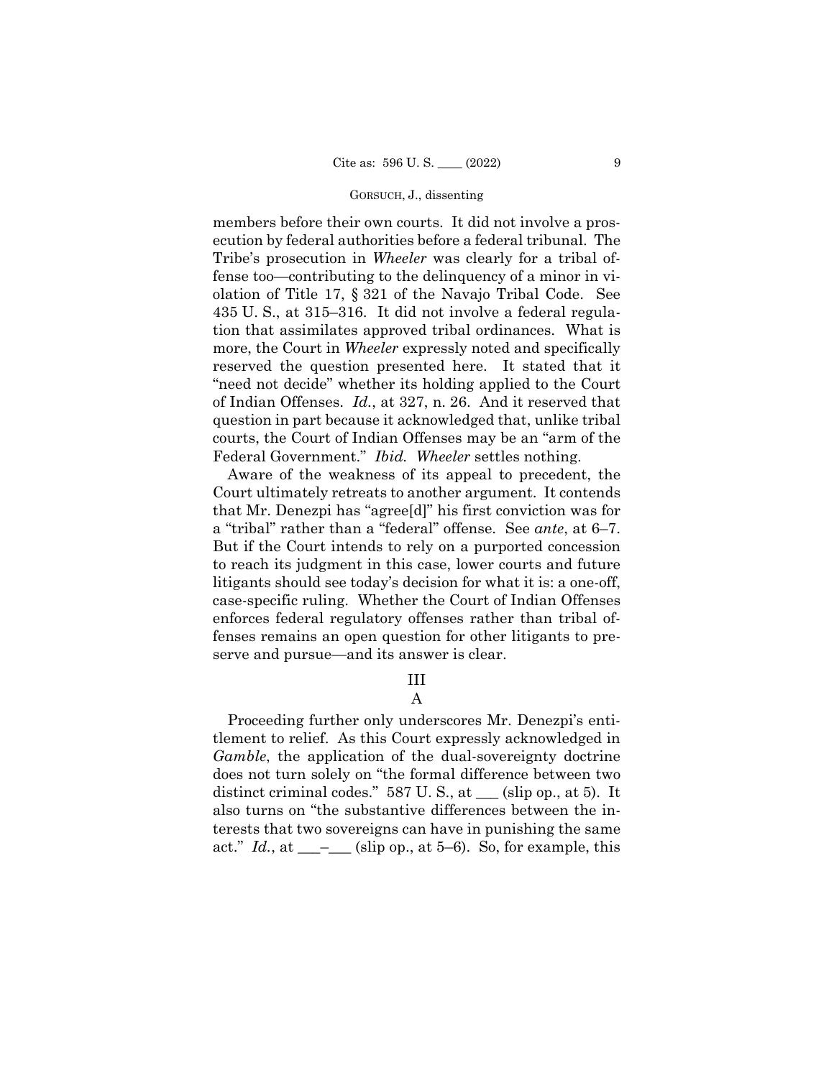Federal Government." *Ibid. Wheeler* settles nothing. members before their own courts. It did not involve a prosecution by federal authorities before a federal tribunal. The Tribe's prosecution in *Wheeler* was clearly for a tribal offense too—contributing to the delinquency of a minor in violation of Title 17, § 321 of the Navajo Tribal Code. See 435 U. S., at 315–316. It did not involve a federal regulation that assimilates approved tribal ordinances. What is more, the Court in *Wheeler* expressly noted and specifically reserved the question presented here. It stated that it "need not decide" whether its holding applied to the Court of Indian Offenses. *Id.*, at 327, n. 26. And it reserved that question in part because it acknowledged that, unlike tribal courts, the Court of Indian Offenses may be an "arm of the

Aware of the weakness of its appeal to precedent, the Court ultimately retreats to another argument. It contends that Mr. Denezpi has "agree[d]" his first conviction was for a "tribal" rather than a "federal" offense. See *ante*, at 6–7. But if the Court intends to rely on a purported concession to reach its judgment in this case, lower courts and future litigants should see today's decision for what it is: a one-off, case-specific ruling. Whether the Court of Indian Offenses enforces federal regulatory offenses rather than tribal offenses remains an open question for other litigants to preserve and pursue—and its answer is clear.

## III A

Proceeding further only underscores Mr. Denezpi's entitlement to relief. As this Court expressly acknowledged in *Gamble*, the application of the dual-sovereignty doctrine does not turn solely on "the formal difference between two distinct criminal codes."  $587 \text{ U}$ . S., at  $\_\_\_\_\_\_\_\_\_\_\_\_\$ . at 5). It also turns on "the substantive differences between the interests that two sovereigns can have in punishing the same act."  $Id.$ , at  $\_\_\_\_\_$ (slip op., at 5–6). So, for example, this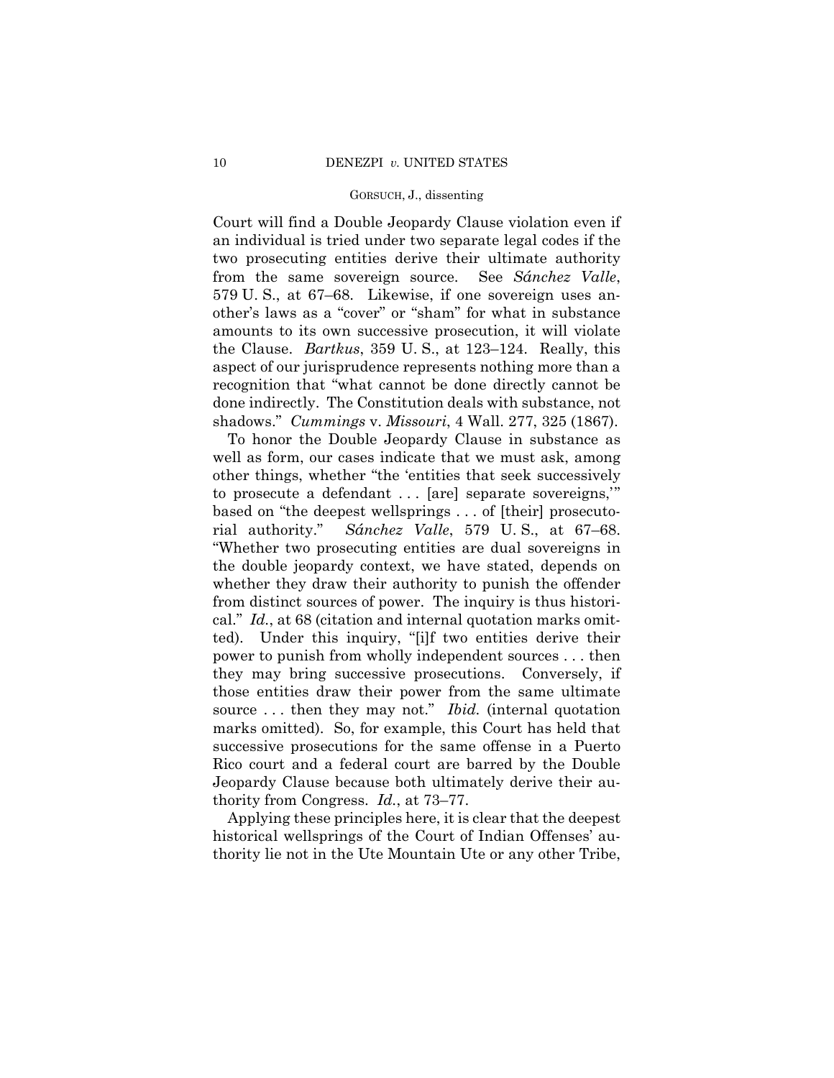the Clause. *Bartkus*, 359 U. S., at 123–124. Really, this Court will find a Double Jeopardy Clause violation even if an individual is tried under two separate legal codes if the two prosecuting entities derive their ultimate authority from the same sovereign source. See *Sánchez Valle*, 579 U. S., at 67–68. Likewise, if one sovereign uses another's laws as a "cover" or "sham" for what in substance amounts to its own successive prosecution, it will violate aspect of our jurisprudence represents nothing more than a recognition that "what cannot be done directly cannot be done indirectly. The Constitution deals with substance, not shadows." *Cummings* v. *Missouri*, 4 Wall. 277, 325 (1867).

To honor the Double Jeopardy Clause in substance as well as form, our cases indicate that we must ask, among other things, whether "the 'entities that seek successively to prosecute a defendant ... [are] separate sovereigns," based on "the deepest wellsprings . . . of [their] prosecutorial authority." *Sánchez Valle*, 579 U. S., at 67–68. "Whether two prosecuting entities are dual sovereigns in the double jeopardy context, we have stated, depends on whether they draw their authority to punish the offender from distinct sources of power. The inquiry is thus historical." *Id.*, at 68 (citation and internal quotation marks omitted). Under this inquiry, "[i]f two entities derive their power to punish from wholly independent sources . . . then they may bring successive prosecutions. Conversely, if those entities draw their power from the same ultimate source . . . then they may not." *Ibid.* (internal quotation marks omitted). So, for example, this Court has held that successive prosecutions for the same offense in a Puerto Rico court and a federal court are barred by the Double Jeopardy Clause because both ultimately derive their authority from Congress. *Id.*, at 73–77.

Applying these principles here, it is clear that the deepest historical wellsprings of the Court of Indian Offenses' authority lie not in the Ute Mountain Ute or any other Tribe,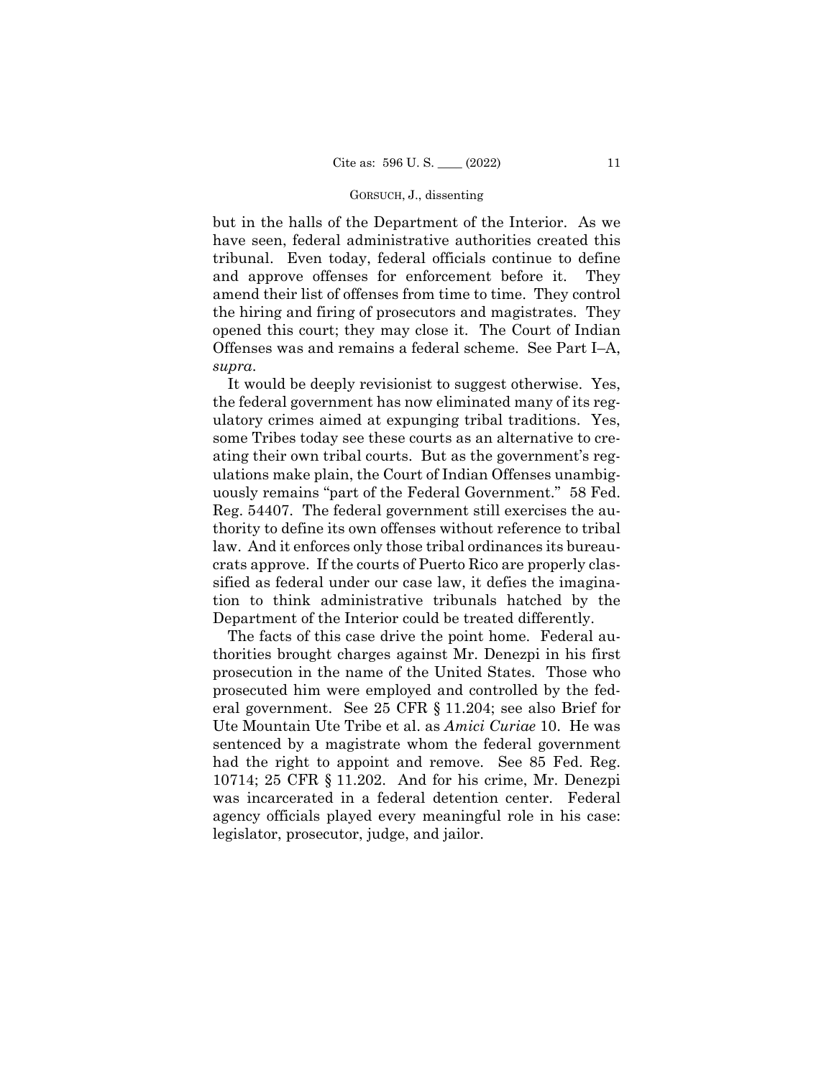but in the halls of the Department of the Interior. As we have seen, federal administrative authorities created this tribunal. Even today, federal officials continue to define and approve offenses for enforcement before it. They amend their list of offenses from time to time. They control the hiring and firing of prosecutors and magistrates. They opened this court; they may close it. The Court of Indian Offenses was and remains a federal scheme. See Part I–A, *supra*.

It would be deeply revisionist to suggest otherwise. Yes, the federal government has now eliminated many of its regulatory crimes aimed at expunging tribal traditions. Yes, some Tribes today see these courts as an alternative to creating their own tribal courts. But as the government's regulations make plain, the Court of Indian Offenses unambiguously remains "part of the Federal Government." 58 Fed. Reg. 54407. The federal government still exercises the authority to define its own offenses without reference to tribal law. And it enforces only those tribal ordinances its bureaucrats approve. If the courts of Puerto Rico are properly classified as federal under our case law, it defies the imagination to think administrative tribunals hatched by the Department of the Interior could be treated differently.

The facts of this case drive the point home. Federal authorities brought charges against Mr. Denezpi in his first prosecution in the name of the United States. Those who prosecuted him were employed and controlled by the federal government. See 25 CFR § 11.204; see also Brief for Ute Mountain Ute Tribe et al. as *Amici Curiae* 10. He was sentenced by a magistrate whom the federal government had the right to appoint and remove. See 85 Fed. Reg. 10714; 25 CFR § 11.202. And for his crime, Mr. Denezpi was incarcerated in a federal detention center. Federal agency officials played every meaningful role in his case: legislator, prosecutor, judge, and jailor.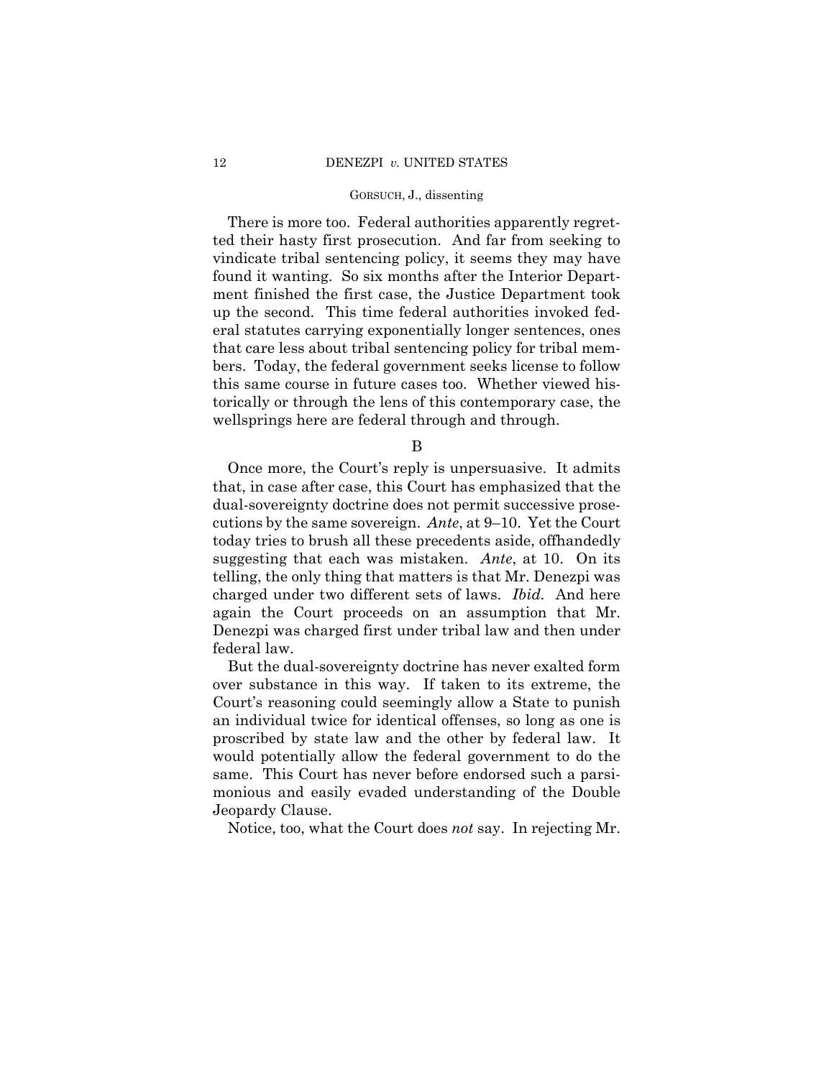There is more too. Federal authorities apparently regretted their hasty first prosecution. And far from seeking to vindicate tribal sentencing policy, it seems they may have found it wanting. So six months after the Interior Department finished the first case, the Justice Department took up the second. This time federal authorities invoked federal statutes carrying exponentially longer sentences, ones that care less about tribal sentencing policy for tribal members. Today, the federal government seeks license to follow this same course in future cases too. Whether viewed historically or through the lens of this contemporary case, the wellsprings here are federal through and through.

B

Once more, the Court's reply is unpersuasive. It admits that, in case after case, this Court has emphasized that the dual-sovereignty doctrine does not permit successive prosecutions by the same sovereign. *Ante*, at 9–10. Yet the Court today tries to brush all these precedents aside, offhandedly suggesting that each was mistaken. *Ante*, at 10. On its telling, the only thing that matters is that Mr. Denezpi was charged under two different sets of laws. *Ibid.* And here again the Court proceeds on an assumption that Mr. Denezpi was charged first under tribal law and then under federal law.

But the dual-sovereignty doctrine has never exalted form over substance in this way. If taken to its extreme, the Court's reasoning could seemingly allow a State to punish an individual twice for identical offenses, so long as one is proscribed by state law and the other by federal law. It would potentially allow the federal government to do the same. This Court has never before endorsed such a parsimonious and easily evaded understanding of the Double Jeopardy Clause.

Notice, too, what the Court does *not* say. In rejecting Mr.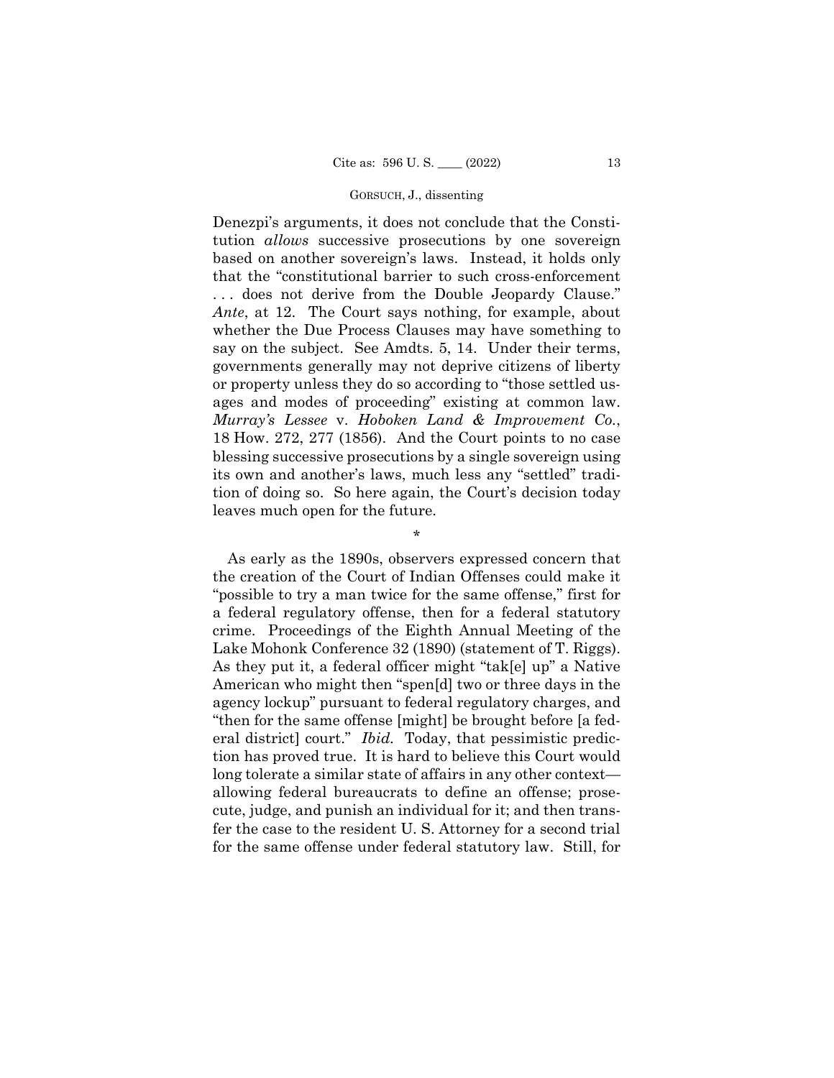Denezpi's arguments, it does not conclude that the Constitution *allows* successive prosecutions by one sovereign based on another sovereign's laws. Instead, it holds only that the "constitutional barrier to such cross-enforcement . . . does not derive from the Double Jeopardy Clause." *Ante*, at 12. The Court says nothing, for example, about whether the Due Process Clauses may have something to say on the subject. See Amdts. 5, 14. Under their terms, governments generally may not deprive citizens of liberty or property unless they do so according to "those settled usages and modes of proceeding" existing at common law. *Murray's Lessee* v. *Hoboken Land & Improvement Co.*, 18 How. 272, 277 (1856). And the Court points to no case blessing successive prosecutions by a single sovereign using its own and another's laws, much less any "settled" tradition of doing so. So here again, the Court's decision today leaves much open for the future.

\*

As early as the 1890s, observers expressed concern that the creation of the Court of Indian Offenses could make it "possible to try a man twice for the same offense," first for a federal regulatory offense, then for a federal statutory crime. Proceedings of the Eighth Annual Meeting of the Lake Mohonk Conference 32 (1890) (statement of T. Riggs). As they put it, a federal officer might "tak[e] up" a Native American who might then "spen[d] two or three days in the agency lockup" pursuant to federal regulatory charges, and "then for the same offense [might] be brought before [a federal district] court." *Ibid.* Today, that pessimistic prediction has proved true. It is hard to believe this Court would long tolerate a similar state of affairs in any other context allowing federal bureaucrats to define an offense; prosecute, judge, and punish an individual for it; and then transfer the case to the resident U. S. Attorney for a second trial for the same offense under federal statutory law. Still, for